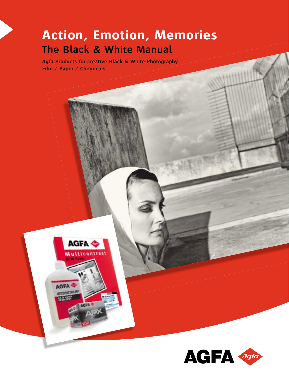# **Action, Emotion, Memories The Black & White Manual**

**Agfa Products for creative Black & White Photography Film / Paper / Chemicals**

**AGFA <** 

**AGFA** 

**Multicontrast** 

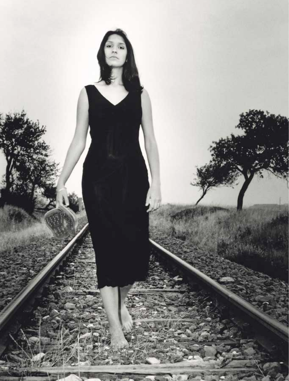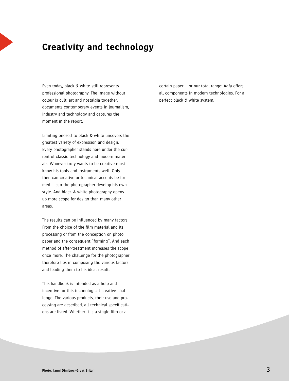## **Creativity and technology**

Even today, black & white still represents professional photography. The image without colour is cult, art and nostalgia together. documents contemporary events in journalism, industry and technology and captures the moment in the report.

Limiting oneself to black & white uncovers the greatest variety of expression and design. Every photographer stands here under the current of classic technology and modern materials. Whoever truly wants to be creative must know his tools and instruments well. Only then can creative or technical accents be formed – can the photographer develop his own style. And black & white photography opens up more scope for design than many other areas.

The results can be influenced by many factors. From the choice of the film material and its processing or from the conception on photo paper and the consequent "forming". And each method of after-treatment increases the scope once more. The challenge for the photographer therefore lies in composing the various factors and leading them to his ideal result.

This handbook is intended as a help and incentive for this technological-creative challenge. The various products, their use and processing are described, all technical specifications are listed. Whether it is a single film or a

certain paper – or our total range: Agfa offers all components in modern technologies. For a perfect black & white system.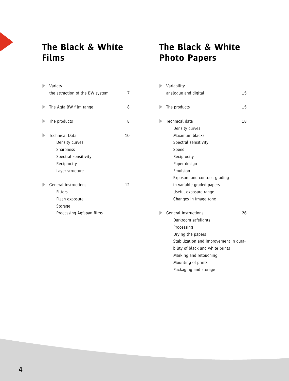## **The Black & White Films**

| Variety $-$                                                                                                           |    |
|-----------------------------------------------------------------------------------------------------------------------|----|
| the attraction of the BW system                                                                                       | 7  |
| The Agfa BW film range                                                                                                | 8  |
| The products                                                                                                          | 8  |
| <b>Technical Data</b><br>Density curves<br><b>Sharpness</b><br>Spectral sensitivity<br>Reciprocity<br>Layer structure | 10 |
| General instructions<br>Filters<br>Flash exposure<br>Storage<br>Processing Agfapan films                              | 12 |

# **The Black & White Photo Papers**

| ▶  | Variability -                          |    |
|----|----------------------------------------|----|
|    | analogue and digital                   | 15 |
| ▶. | The products                           | 15 |
|    | Technical data<br>Density curves       | 18 |
|    | Maximum blacks                         |    |
|    | Spectral sensitivity                   |    |
|    | Speed                                  |    |
|    | Reciprocity                            |    |
|    | Paper design                           |    |
|    | Emulsion                               |    |
|    | Exposure and contrast grading          |    |
|    | in variable graded papers              |    |
|    | Useful exposure range                  |    |
|    | Changes in image tone                  |    |
|    | General instructions                   | 26 |
|    | Darkroom safelights                    |    |
|    | Processing                             |    |
|    | Drying the papers                      |    |
|    | Stabilization and improvement in dura- |    |
|    | bility of black and white prints       |    |
|    | Marking and retouching                 |    |
|    | Mounting of prints                     |    |
|    | Packaging and storage                  |    |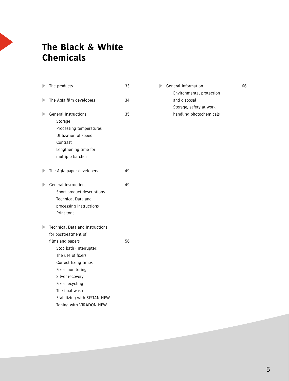# **The Black & White Chemicals**

| ▶  | The products                    | 33 |
|----|---------------------------------|----|
| ▶  | The Agfa film developers        | 34 |
|    | General instructions            | 35 |
|    | Storage                         |    |
|    | Processing temperatures         |    |
|    | Utilization of speed            |    |
|    | Contrast                        |    |
|    | Lengthening time for            |    |
|    | multiple batches                |    |
| Þ. | The Agfa paper developers       | 49 |
|    | General instructions            | 49 |
|    | Short product descriptions      |    |
|    | Technical Data and              |    |
|    | processing instructions         |    |
|    | Print tone                      |    |
|    | Technical Data and instructions |    |
|    | for posttreatment of            |    |
|    | films and papers                | 56 |
|    | Stop bath (interrupter)         |    |
|    | The use of fixers               |    |
|    | Correct fixing times            |    |
|    | Fixer monitoring                |    |
|    | Silver recovery                 |    |
|    | Fixer recycling                 |    |
|    | The final wash                  |    |
|    | Stabilizing with SISTAN NEW     |    |
|    | Toning with VIRADON NEW         |    |

| General information<br>▶. | 66 |
|---------------------------|----|
| Environmental protection  |    |
| and disposal              |    |
| Storage, safety at work,  |    |
| handling photochemicals   |    |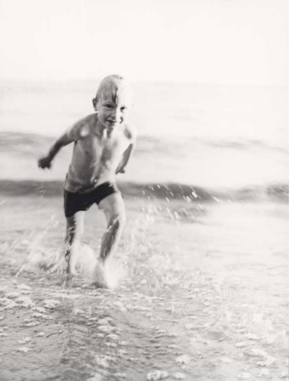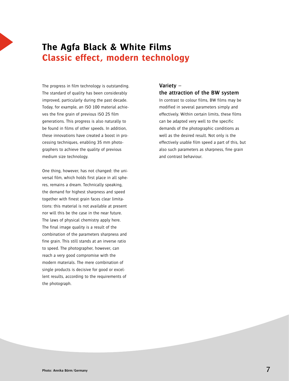## <span id="page-6-0"></span>**The Agfa Black & White Films Classic effect, modern technology**

The progress in film technology is outstanding. The standard of quality has been considerably improved, particularly during the past decade. Today, for example, an ISO 100 material achieves the fine grain of previous ISO 25 film generations. This progress is also naturally to be found in films of other speeds. In addition, these innovations have created a boost in processing techniques, enabling 35 mm photographers to achieve the quality of previous medium size technology.

One thing, however, has not changed: the universal film, which holds first place in all spheres, remains a dream. Technically speaking, the demand for highest sharpness and speed together with finest grain faces clear limitations: this material is not available at present nor will this be the case in the near future. The laws of physical chemistry apply here. The final image quality is a result of the combination of the parameters sharpness and fine grain. This still stands at an inverse ratio to speed. The photographer, however, can reach a very good compromise with the modern materials. The mere combination of single products is decisive for good or excellent results, according to the requirements of the photograph.

## **Variety – the attraction of the BW system**

In contrast to colour films, BW films may be modified in several parameters simply and effectively. Within certain limits, these films can be adapted very well to the specific demands of the photographic conditions as well as the desired result. Not only is the effectively usable film speed a part of this, but also such parameters as sharpness, fine grain and contrast behaviour.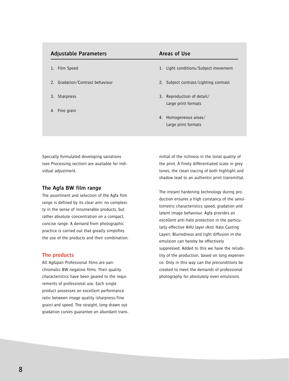## <span id="page-7-0"></span>**Adjustable Parameters**

**Areas of Use**

- 1. Film Speed
- 2. Gradation/Contrast behaviour
- 3. Sharpness
- 4. Fine grain
- 1. Light conditions/Subject movement
- 2. Subject contrast/Lighting contrast
- 3. Reproduction of detail/ Large print formats
- 4. Homogeneous areas/ Large print formats

Specially formulated developing variations (see Processing section) are available for individual adjustment.

## **The Agfa BW film range**

The assortment and selection of the Agfa film range is defined by its clear aim: no complexity in the sense of innumerable products, but rather absolute concentration on a compact, concise range. A demand from photographic practice is carried out that greatly simplifies the use of the products and their combination.

#### **The products**

All Agfapan Professional films are panchromatic BW negative films. Their quality characteristics have been geared to the requirements of professional use. Each single product possesses an excellent performance ratio between image quality (sharpness/fine grain) and speed. The straight, long drawn out gradation curves guarantee an abundant transmittal of the richness in the tonal quality of the print. A finely differentiated scale in grey tones, the clean tracing of both highlight and shadow lead to an authentic print transmittal.

The instant hardening technology during production ensures a high constancy of the sensitometric characteristics speed, gradation and latent image behaviour. Agfa provides an excellent anti-halo protection in the particularly effective AHU layer (Anti Halo Casting Layer). Blurredness and light diffusion in the emulsion can hereby be effectively suppressed. Added to this we have the reliability of the production, based on long experience. Only in this way can the preconditions be created to meet the demands of professional photography for absolutely even emulsions.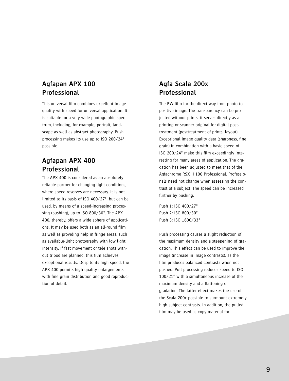## **Agfapan APX 100 Professional**

This universal film combines excellent image quality with speed for universal application. It is suitable for a very wide photographic spectrum, including, for example, portrait, landscape as well as abstract photography. Push processing makes its use up to ISO 200/24° possible.

## **Agfapan APX 400 Professional**

The APX 400 is considered as an absolutely reliable partner for changing light conditions, where speed reserves are necessary. It is not limited to its basis of ISO 400/27°, but can be used, by means of a speed-increasing processing (pushing), up to ISO 800/30°. The APX 400, thereby, offers a wide sphere of applications. It may be used both as an all-round film as well as providing help in fringe areas, such as available-light photography with low light intensity. If fast movement or tele shots without tripod are planned, this film achieves exceptional results. Despite its high speed, the APX 400 permits high quality enlargements with fine grain distribution and good reproduction of detail.

## **Agfa Scala 200x Professional**

The BW film for the direct way from photo to positive image. The transparency can be projected without prints, it serves directly as a printing or scanner original for digital posttreatment (posttreatment of prints, layout). Exceptional image quality data (sharpness, fine grain) in combination with a basic speed of ISO 200/24° make this film exceedingly interesting for many areas of application. The gradation has been adjusted to meet that of the Agfachrome RSX II 100 Professional. Professionals need not change when assessing the contrast of a subject. The speed can be increased further by pushing:

Push 1: ISO 400/27° Push 2: ISO 800/30° Push 3: ISO 1600/33°

Push processing causes a slight reduction of the maximum density and a steepening of gradation. This effect can be used to improve the image (increase in image contrasts), as the film produces balanced contrasts when not pushed. Pull processing reduces speed to ISO 100/21° with a simultaneous increase of the maximum density and a flattening of gradation. The latter effect makes the use of the Scala 200x possible to surmount extremely high subject contrasts. In addition, the pulled film may be used as copy material for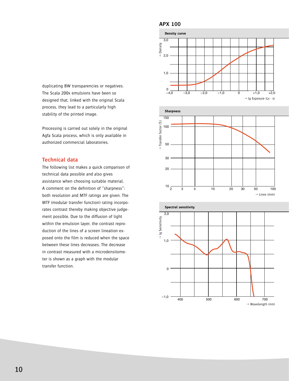<span id="page-9-0"></span>duplicating BW transparencies or negatives. The Scala 200x emulsions have been so designed that, linked with the original Scala process, they lead to a particularly high stability of the printed image.

Processing is carried out solely in the original Agfa Scala process, which is only available in authorized commercial laboratories.

## **Technical data**

The following list makes a quick comparison of technical data possible and also gives assistance when choosing suitable material. A comment on the definition of "sharpness": both resolution and MTF ratings are given. The MTF (modular transfer function) rating incorporates contrast thereby making objective judgement possible. Due to the diffusion of light within the emulsion layer, the contrast reproduction of the lines of a screen lineation exposed onto the film is reduced when the space between these lines decreases. The decrease in contrast measured with a microdensitometer is shown as a graph with the modular transfer function.

## **APX 100**





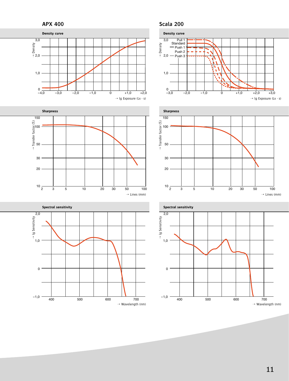**APX 400**







## **Scala 200**





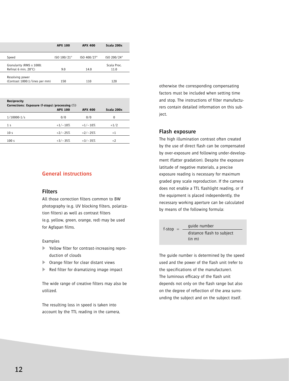<span id="page-11-0"></span>

|                                                   | <b>APX 100</b> | <b>APX 400</b> | Scala 200x          |
|---------------------------------------------------|----------------|----------------|---------------------|
| Speed                                             | ISO 100/21°    | ISO 400/27°    | ISO 200/24°         |
| Granularity (RMS x 1000;<br>Refinal 6 min. 20°C)  | 9.0            | 14.0           | Scala Proc.<br>11.0 |
| Resolving power<br>(Contrast 1000:1/lines per mm) | 150            | 110            | 120                 |

|                  | <b>Reciprocity</b><br>Corrections: Exposure (f-stops)/processing $(\%)$ | <b>APX 100</b> | <b>APX 400</b> | Scala 200x |  |
|------------------|-------------------------------------------------------------------------|----------------|----------------|------------|--|
|                  | $1/10000 - 1/s$                                                         | 0/0            | 0/0            | 0          |  |
| 1 <sub>s</sub>   |                                                                         | $+1/-10%$      | $+1/-10%$      | $+1/2$     |  |
| 10 <sub>s</sub>  |                                                                         | $+2/-25%$      | $+2/-25%$      | $+1$       |  |
| 100 <sub>s</sub> |                                                                         | $+3/-35%$      | $+3/-35%$      | $+2$       |  |

## **General instructions**

## **Filters**

All those correction filters common to BW photography (e.g. UV blocking filters, polarization filters) as well as contrast filters (e.g. yellow, green, orange, red) may be used for Agfapan films.

#### Examples

- Yellow filter for contrast-increasing reproduction of clouds
- **Drange filter for clear distant views**
- **Red filter for dramatizing image impact**

The wide range of creative filters may also be utilized.

The resulting loss in speed is taken into account by the TTL reading in the camera, otherwise the corresponding compensating factors must be included when setting time and stop. The instructions of filter manufacturers contain detailed information on this subject.

#### **Flash exposure**

The high illumination contrast often created by the use of direct flash can be compensated by over-exposure and following under-development (flatter gradation). Despite the exposure latitude of negative materials, a precise exposure reading is necessary for maximum graded grey scale reproduction. If the camera does not enable a TTL flashlight reading, or if the equipment is placed independently, the necessary working aperture can be calculated by means of the following formula:

$$
f\text{-stop} = \frac{\text{guide number}}{\text{distance flash to subject}}
$$
  
(in m)

The guide number is determined by the speed used and the power of the flash unit (refer to the specifications of the manufacturer). The luminous efficacy of the flash unit depends not only on the flash range but also on the degree of reflection of the area surrounding the subject and on the subject itself.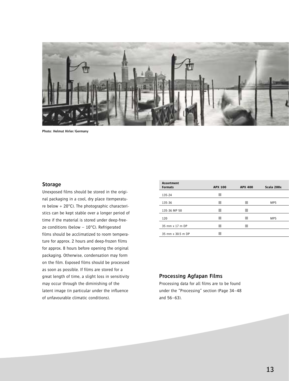

**Photo: Helmut Hirler/Germany**

## **Storage**

Unexposed films should be stored in the original packaging in a cool, dry place (temperature below + 20°C). The photographic characteristics can be kept stable over a longer period of time if the material is stored under deep-freeze conditions (below  $-10^{\circ}$ C). Refrigerated films should be acclimatized to room temperature for approx. 2 hours and deep-frozen films for approx. 8 hours before opening the original packaging. Otherwise, condensation may form on the film. Exposed films should be processed as soon as possible. If films are stored for a great length of time, a slight loss in sensitivity may occur through the diminishing of the latent image (in particular under the influence of unfavourable climatic conditions).

| <b>Assortment</b> |                |                |                 |
|-------------------|----------------|----------------|-----------------|
| <b>Formats</b>    | <b>APX 100</b> | <b>APX 400</b> | Scala 200x      |
| 135-24            |                |                |                 |
| 135-36            |                |                | MP <sub>5</sub> |
| 135-36 MP 50      |                |                |                 |
| 120               |                |                | MP <sub>5</sub> |
| 35 mm x 17 m DP   |                |                |                 |
| 35 mm x 30.5 m DP |                |                |                 |
|                   |                |                |                 |

## **Processing Agfapan Films**

Processing data for all films are to be found under the "Processing" section (Page 34–48 and 56–63).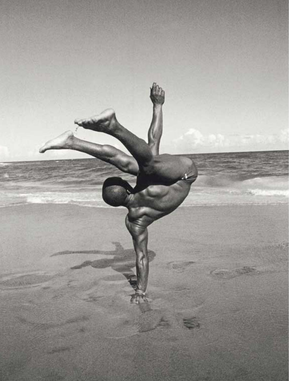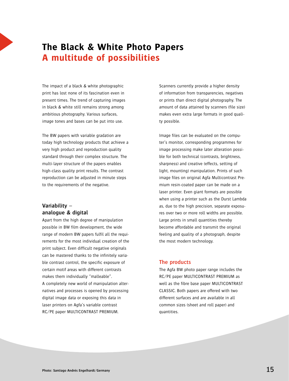## <span id="page-14-0"></span>**The Black & White Photo Papers A multitude of possibilities**

The impact of a black & white photographic print has lost none of its fascination even in present times. The trend of capturing images in black & white still remains strong among ambitious photography. Various surfaces, image tones and bases can be put into use.

The BW papers with variable gradation are today high technology products that achieve a very high product and reproduction quality standard through their complex structure. The multi-layer structure of the papers enables high-class quality print results. The contrast reproduction can be adjusted in minute steps to the requirements of the negative.

## **Variability – analogue & digital**

Apart from the high degree of manipulation possible in BW film development, the wide range of modern BW papers fulfil all the requirements for the most individual creation of the print subject. Even difficult negative originals can be mastered thanks to the infinitely variable contrast control, the specific exposure of certain motif areas with different contrasts makes them individually "malleable". A completely new world of manipulation alternatives and processes is opened by processing digital image data or exposing this data in laser printers on Agfa's variable contrast RC/PE paper MULTICONTRAST PREMIUM.

Scanners currently provide a higher density of information from transparencies, negatives or prints than direct digital photography. The amount of data attained by scanners (file size) makes even extra large formats in good quality possible.

Image files can be evaluated on the computer's monitor, corresponding programmes for image processing make later alteration possible for both technical (contrasts, brightness, sharpness) and creative (effects, setting of light, mounting) manipulation. Prints of such image files on original Agfa Multicontrast Premium resin-coated paper can be made on a laser printer. Even giant formats are possible when using a printer such as the Durst Lambda as, due to the high precision, separate exposures over two or more roll widths are possible. Large prints in small quantities thereby become affordable and transmit the original feeling and quality of a photograph, despite the most modern technology.

## **The products**

The Agfa BW photo paper range includes the RC/PE paper MULTICONTRAST PREMIUM as well as the fibre base paper MULTICONTRAST CLASSIC. Both papers are offered with two different surfaces and are available in all common sizes (sheet and roll paper) and quantities.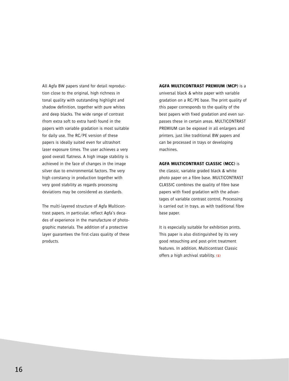All Agfa BW papers stand for detail reproduction close to the original, high richness in tonal quality with outstanding highlight and shadow definition, together with pure whites and deep blacks. The wide range of contrast (from extra soft to extra hard) found in the papers with variable gradation is most suitable for daily use. The RC/PE version of these papers is ideally suited even for ultrashort laser exposure times. The user achieves a very good overall flatness. A high image stability is achieved in the face of changes in the image silver due to environmental factors. The very high constancy in production together with very good stability as regards processing deviations may be considered as standards.

The multi-layered structure of Agfa Multicontrast papers, in particular, reflect Agfa's decades of experience in the manufacture of photographic materials. The addition of a protective layer guarantees the first-class quality of these products.

**AGFA MULTICONTRAST PREMIUM (MCP)** is a universal black & white paper with variable

gradation on a RC/PE base. The print quality of this paper corresponds to the quality of the best papers with fixed gradation and even surpasses these in certain areas. MULTICONTRAST PREMIUM can be exposed in all enlargers and printers, just like traditional BW papers and can be processed in trays or developing machines.

#### **AGFA MULTICONTRAST CLASSIC (MCC)** is

the classic, variable graded black & white photo paper on a fibre base. MULTICONTRAST CLASSIC combines the quality of fibre base papers with fixed gradation with the advantages of variable contrast control. Processing is carried out in trays, as with traditional fibre base paper.

It is especially suitable for exhibition prints. This paper is also distinguished by its very good retouching and post-print treatment features. In addition, Multicontrast Classic offers a high archival stability. **(1)**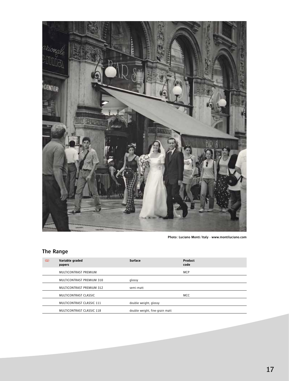

**Photo: Luciano Monti/Italy · www.montiluciano.com**

## **The Range**

| (1) | Variable graded<br>papers | <b>Surface</b>                 | <b>Product</b><br>code |
|-----|---------------------------|--------------------------------|------------------------|
|     | MULTICONTRAST PREMIUM     |                                | <b>MCP</b>             |
|     | MULTICONTRAST PREMIUM 310 | glossy                         |                        |
|     | MULTICONTRAST PREMIUM 312 | semi-matt                      |                        |
|     | MULTICONTRAST CLASSIC     |                                | <b>MCC</b>             |
|     | MULTICONTRAST CLASSIC 111 | double weight, glossy          |                        |
|     | MULTICONTRAST CLASSIC 118 | double weight, fine-grain matt |                        |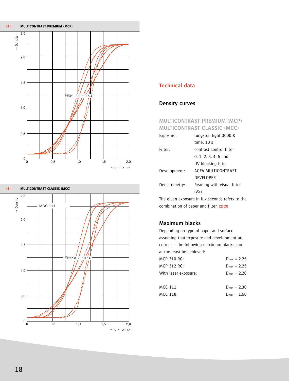<span id="page-17-0"></span>



## **Technical data**

## **Density curves**

## **MULTICONTRAST PREMIUM (MCP) MULTICONTRAST CLASSIC (MCC)**

| Exposure:     | tungsten light 3000 K      |
|---------------|----------------------------|
|               | time: $10 s$               |
| Filter:       | contrast control filter    |
|               | $0.1.2.3.4.5$ and          |
|               | UV blocking filter         |
| Development:  | AGFA MULTICONTRAST         |
|               | DEVELOPER                  |
| Densitometry: | Reading with visual filter |
|               |                            |

The given exposure in lux seconds refers to the combination of paper and filter. **(2) (3)**

## **Maximum blacks**

Depending on type of paper and surface – assuming that exposure and development are correct – the following maximum blacks can at the least be achieved:

| MCP 310 RC:          | $D_{max} = 2.25$        |
|----------------------|-------------------------|
| MCP 312 RC:          | $D_{\text{max}} = 2.25$ |
| With laser exposure: | $D_{\text{max}} = 2.20$ |

| MCC 111: | $D_{\text{max}} = 2.30$ |
|----------|-------------------------|
| MCC 118: | $D_{\text{max}} = 1.60$ |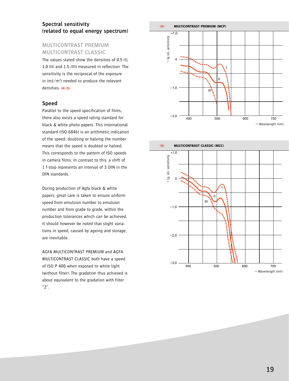## **Spectral sensitivity (related to equal energy spectrum)**

## **MULTICONTRAST PREMIUM MULTICONTRAST CLASSIC**

The values stated show the densities of 0.5 (I), 1.0 (II) and 1.5 (III) measured in reflection. The sensitivity is the reciprocal of the exposure in (mJ/m2 ) needed to produce the relevant densities. **(4) (5)**

## **Speed**

Parallel to the speed specification of films, there also exists a speed rating standard for black & white photo papers. This international standard (ISO 6846) is an arithmetic indication of the speed: doubling or halving the number means that the speed is doubled or halved. This corresponds to the pattern of ISO speeds in camera films. In contrast to this, a shift of 1 f-stop represents an interval of 3 DIN in the DIN standards.

During production of Agfa black & white papers, great care is taken to ensure uniform speed from emulsion number to emulsion number and from grade to grade, within the production tolerances which can be achieved. It should however be noted that slight variations in speed, caused by ageing and storage, are inevitable.

AGFA MULTICONTRAST PREMIUM and AGFA MULTICONTRAST CLASSIC both have a speed of ISO P 400 when exposed to white light (without filter). The gradation thus achieved is about equivalent to the gradation with filter "2".



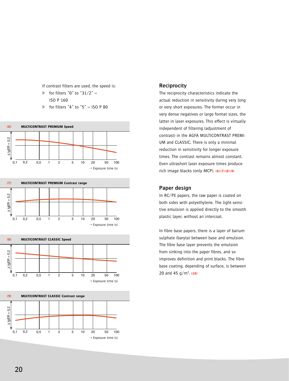If contrast filters are used, the speed is:

- for filters "0" to "31/2" = ISO P 160
- for filters "4" to "5" = ISO P 80



0,1 0,2 0,5 1 2 5 10 20 50 100

**(9) MULTICONTRAST CLASSIC Contrast range**

0,1 0,2 0,5 1 2 5 10 20 50 100

 $\rightarrow$  Exposure time (s)

 $\rightarrow$  Exposure time (s)

## **Reciprocity**

The reciprocity characteristics indicate the actual reduction in sensitivity during very long or very short exposures. The former occur in very dense negatives or large format sizes, the latter in laser exposures. This effect is virtually independent of filtering (adjustment of contrast) in the AGFA MULTICONTRAST PREMI-UM and CLASSIC. There is only a minimal reduction in sensitivity for longer exposure times. The contrast remains almost constant. Even ultrashort laser exposure times produce rich image blacks (only MCP). **(6) (7) (8) (9)**

#### **Paper design**

In RC/PE papers, the raw paper is coated on both sides with polyethylene. The light-sensitive emulsion is applied directly to the smooth plastic layer, without an intercoat.

In fibre base papers, there is a layer of barium sulphate (baryta) between base and emulsion. The fibre base layer prevents the emulsion from sinking into the paper fibres, and so improves definition and print blacks. The fibre base coating, depending of surface, is between 20 and 45 g/m2 . **(10)**

 $\triangle$  lgER = 0,2  $\Delta$  lgER = 0,2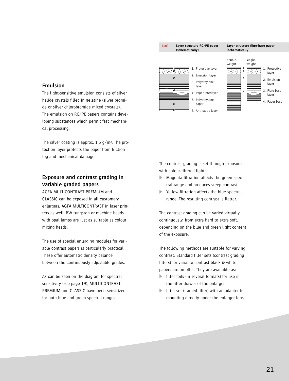

## **Emulsion**

The light-sensitive emulsion consists of silver halide crystals filled in gelatine (silver bromide or silver chlorobromide mixed crystals). The emulsion on RC/PE papers contains developing substances which permit fast mechanical processing.

The silver coating is approx.  $1.5$  g/m<sup>2</sup>. The protection layer protects the paper from friction fog and mechanical damage.

## **Exposure and contrast grading in variable graded papers**

AGFA MULTICONTRAST PREMIUM and CLASSIC can be exposed in all customary enlargers, AGFA MULTICONTRAST in laser printers as well. BW tungsten or machine heads with opal lamps are just as suitable as colour mixing heads.

The use of special enlarging modules for variable contrast papers is particularly practical. These offer automatic density balance between the continuously adjustable grades.

As can be seen on the diagram for spectral sensitivity (see page 19), MULTICONTRAST PREMIUM and CLASSIC have been sensitized for both blue and green spectral ranges.

The contrast grading is set through exposure with colour-filtered light:

- Magenta filtration affects the green spectral range and produces steep contrast
- Yellow filtration affects the blue spectral range. The resulting contrast is flatter.

The contrast grading can be varied virtually continuously, from extra hard to extra soft, depending on the blue and green light content of the exposure.

The following methods are suitable for varying contrast: Standard filter sets (contrast grading filters) for variable contrast black & white papers are on offer. They are available as:

- filter foils (in several formats) for use in the filter drawer of the enlarger
- filter set (framed filter) with an adapter for mounting directly under the enlarger lens.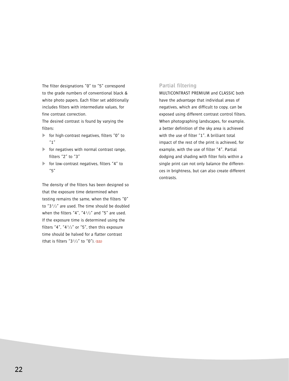The filter designations "0" to "5" correspond to the grade numbers of conventional black & white photo papers. Each filter set additionally includes filters with intermediate values, for fine contrast correction.

The desired contrast is found by varying the filters:

- for high-contrast negatives, filters "0" to "1"
- for negatives with normal contrast range, filters "2" to "3"
- for low-contrast negatives, filters "4" to "5"

The density of the filters has been designed so that the exposure time determined when testing remains the same, when the filters "0" to "31 /2" are used. The time should be doubled when the filters "4", "4 $\frac{1}{2}$ " and "5" are used. If the exposure time is determined using the filters "4", "4 $\frac{1}{2}$ " or "5", then this exposure time should be halved for a flatter contrast (that is filters "31 /2" to "0"). **(11)**

## **Partial filtering**

MULTICONTRAST PREMIUM and CLASSIC both have the advantage that individual areas of negatives, which are difficult to copy, can be exposed using different contrast control filters. When photographing landscapes, for example, a better definition of the sky area is achieved with the use of filter "1". A brilliant total impact of the rest of the print is achieved, for example, with the use of filter "4". Partial dodging and shading with filter foils within a single print can not only balance the differences in brightness, but can also create different contrasts.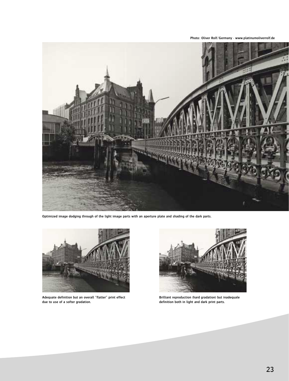**Photo: Oliver Rolf/Germany · www.platinumoliverrolf.de**



**Optimized image dodging through of the light image parts with an aperture plate and shading of the dark parts.**



**Adequate definition but an overall "flatter" print effect due to use of a softer gradation.**



**Brilliant reproduction (hard gradation) but inadequale definition both in light and dark print parts.**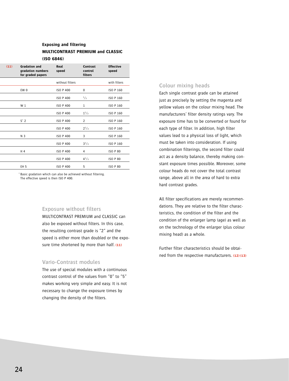## **Exposing and filtering MULTICONTRAST PREMIUM and CLASSIC (ISO 6846)**

**(11) Gradation and Real Contrast Effective gradation numbers speed control speed for graded papers filters** without filters with filters EW 0 1SO P 400 0 1SO P 160 ISO P 400  $1/2$ ISO P 160 W 1 1 ISO P 400 1 ISO P 160 ISO P 400  $1^{1/2}$ /2 ISO P 160 S<sup>\*</sup> 2 ISO P 400 2 ISO P 160 ISO P 400  $2^{1/2}$ /2 ISO P 160 N 3 ISO P 400 3 ISO P 160 ISO P 400  $3^{1/2}$ ISO P 160 H 4 ISO P 400 4 ISO P 80 ISO P 400  $4^{1/2}$ /2 ISO P 80 EH 5 ISO P 400 5 ISO P 80

> \* Basic gradation which can also be achieved without filtering. The effective speed is then ISO P 400.

## **Exposure without filters**

MULTICONTRAST PREMIUM and CLASSIC can also be exposed without filters. In this case, the resulting contrast grade is "2" and the speed is either more than doubled or the exposure time shortened by more than half. **(11)**

## **Vario-Contrast modules**

The use of special modules with a continuous contrast control of the values from "0" to "5" makes working very simple and easy. It is not necessary to change the exposure times by changing the density of the filters.

## **Colour mixing heads**

Each single contrast grade can be attained just as precisely by setting the magenta and yellow values on the colour mixing head. The manufacturers' filter density ratings vary. The exposure time has to be converted or found for each type of filter. In addition, high filter values lead to a physical loss of light, which must be taken into consideration. If using combination filterings, the second filter could act as a density balance, thereby making constant exposure times possible. Moreover, some colour heads do not cover the total contrast range, above all in the area of hard to extra hard contrast grades.

All filter specifications are merely recommendations. They are relative to the filter characteristics, the condition of the filter and the condition of the enlarger lamp (age) as well as on the technology of the enlarger (plus colour mixing head) as a whole.

Further filter characteristics should be obtained from the respective manufacturers. **(12) (13)**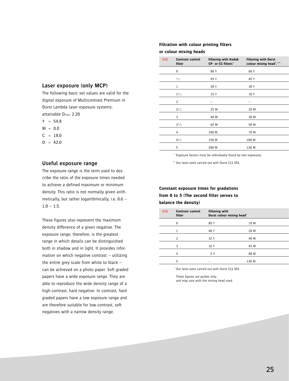#### **Filtration with colour printing filters**

**or colour mixing heads**

| (12) | <b>Contrast control</b><br>filter | <b>Filtering with Kodak</b><br>CP- or CC-filters* | <b>Filtering with Durst</b><br>colour mixing head*/** |
|------|-----------------------------------|---------------------------------------------------|-------------------------------------------------------|
|      | 0                                 | 80Y                                               | 60 Y                                                  |
|      | $\frac{1}{2}$                     | 55 Y                                              | 45 Y                                                  |
|      | 1                                 | 30 Y                                              | 30 Y                                                  |
|      | $1^{1/2}$                         | 15 Y                                              | 10 Y                                                  |
|      | $\overline{2}$                    | -                                                 |                                                       |
|      | $2^{1/2}$                         | 25 M                                              | 20 M                                                  |
|      | 3                                 | 40 M                                              | 30 M                                                  |
|      | $3^{1/2}$                         | 65 M                                              | 50 M                                                  |
|      | 4                                 | 100 M                                             | 70 M                                                  |
|      | $4^{1/2}$                         | 150 M                                             | 100 M                                                 |
|      | 5                                 | 200 M                                             | 130 M                                                 |
|      |                                   |                                                   |                                                       |

\* Exposure factors must be individually found by test exposures.

\*\* Our tests were carried out with Durst CLS 501.

## **Constant exposure times for gradations from 0 to 5 (The second filter serves to balance the density)**

| (13) | <b>Contrast control</b><br>filter | <b>Filtering with</b><br>Durst colour mixing head* |       |  |
|------|-----------------------------------|----------------------------------------------------|-------|--|
|      | 0                                 | 80 Y                                               | 10 M  |  |
|      | 1                                 | 48 Y                                               | 20 M  |  |
|      | $\overline{2}$                    | 32 Y                                               | 40 M  |  |
|      | 3                                 | 16 Y                                               | 45 M  |  |
|      | 4                                 | 5 Y                                                | 88 M  |  |
|      | 5                                 |                                                    | 130 M |  |
|      |                                   |                                                    |       |  |

\* Our tests were carried out with Durst CLS 501.

These figures are guides only, and may vary with the mixing head used.

## **Laser exposure (only MCP)**

The following basic set values are valid for the digital exposure of Multicontrast Premium in Durst Lambda laser exposure systems:

attainable Dmax: 2.20

$$
Y = 54.8
$$

 $M = 0.0$ 

 $C = 18.0$ 

 $D = 42.0$ 

## **Useful exposure range**

The exposure range is the term used to describe the ratio of the exposure times needed to achieve a defined maximum or minimum density. This ratio is not normally given arithmetically, but rather logarithmically, i.e. 0.6 –  $1.0 - 1.5$ .

These figures also represent the maximum density difference of a given negative. The exposure range, therefore, is the greatest range in which details can be distinguished both in shadow and in light. It provides information on which negative contrast – utilizing the entire grey scale from white to black – can be achieved on a photo paper. Soft graded papers have a wide exposure range. They are able to reproduce the wide density range of a high-contrast, hard negative. In contrast, hard graded papers have a low exposure range and are therefore suitable for low-contrast, soft negatives with a narrow density range.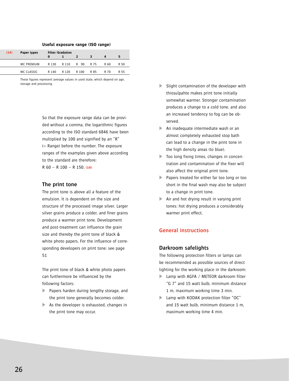<span id="page-25-0"></span>

| (14) | Paper types | Filter/Gradation |       |       |      |      |      |
|------|-------------|------------------|-------|-------|------|------|------|
|      |             | $\Omega$         |       |       | З    |      | 5    |
|      | MC PREMIUM  | R 130            | R 110 | R 90  | R 75 | R 60 | R 50 |
|      | MC CLASSIC  | R 140            | R 120 | R 100 | R 85 | R 70 | R 55 |
|      |             |                  |       |       |      |      |      |

**Useful exposure range (ISO range)** 

These figures represent average values in used state, which depend on age, storage and processing.

> So that the exposure range data can be provided without a comma, the logarithmic figures according to the ISO standard 6846 have been multiplied by 100 and signified by an "R" (= Range) before the number. The exposure ranges of the examples given above according to the standard are therefore: R 60 – R 100 – R 150. **(14)**

## **The print tone**

The print tone is above all a feature of the emulsion. It is dependent on the size and structure of the processed image silver. Larger silver grains produce a colder, and finer grains produce a warmer print tone. Development and post-treatment can influence the grain size and thereby the print tone of black & white photo papers. For the influence of corresponding developers on print tone: see page 51

The print tone of black & white photo papers can furthermore be influenced by the following factors:

- **Papers harden during lengthy storage, and** the print tone generally becomes colder.
- As the developer is exhausted, changes in the print tone may occur.
- Slight contamination of the developer with thiosulpahte makes print tone initially somewhat warmer. Stronger contamination produces a change to a cold tone, and also an increased tendency to fog can be observed.
- An inadequate intermediate wash or an almost completely exhausted stop bath can lead to a change in the print tone in the high density areas (to blue).
- $\blacktriangleright$  Too long fixing times, changes in concentration and contamination of the fixer will also affect the original print tone.
- Papers treated for either far too long or too short in the final wash may also be subject to a change in print tone.
- Air and hot drying result in varying print tones: hot drying produces a considerably warmer print effect.

## **General instructions**

## **Darkroom safelights**

The following protection filters or lamps can be recommended as possible sources of direct lighting for the working place in the darkroom:

- Lamp with AGFA / METEOR darkroom filter "G 7" and 15 watt bulb, minimum distance 1 m, maximum working time 3 min.
- Lamp with KODAK protection filter "OC" and 15 watt bulb, minimum distance 1 m, maximum working time 4 min.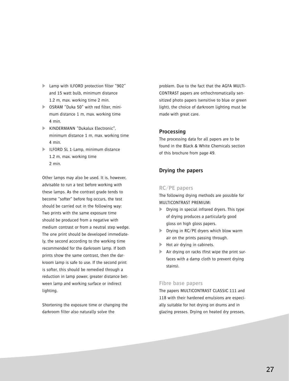- Lamp with ILFORD protection filter "902" and 15 watt bulb, minimum distance 1.2 m, max. working time 2 min.
- OSRAM "Duka 50" with red filter, minimum distance 1 m, max. working time 4 min.
- KINDERMANN "Dukalux Electronic", minimum distance 1 m, max. working time 4 min.
- ILFORD SL 1-Lamp, minimum distance 1.2 m, max. working time 2 min.

Other lamps may also be used. It is, however, advisable to run a test before working with these lamps. As the contrast grade tends to become "softer" before fog occurs, the test should be carried out in the following way: Two prints with the same exposure time should be produced from a negative with medium contrast or from a neutral step wedge. The one print should be developed immediately, the second according to the working time recommended for the darkroom lamp. If both prints show the same contrast, then the darkroom lamp is safe to use. If the second print is softer, this should be remedied through a reduction in lamp power, greater distance between lamp and working surface or indirect lighting.

Shortening the exposure time or changing the darkroom filter also naturally solve the

problem. Due to the fact that the AGFA MULTI-CONTRAST papers are orthochromatically sensitized photo papers (sensitive to blue or green light), the choice of darkroom lighting must be made with great care.

## **Processing**

The processing data for all papers are to be found in the Black & White Chemicals section of this brochure from page 49.

## **Drying the papers**

## **RC/PE papers**

The following drying methods are possible for MULTICONTRAST PREMIUM:

- Drying in special infrared dryers. This type of drying produces a particularly good gloss on high gloss papers.
- **Drying in RC/PE dryers which blow warm** air on the prints passing through.
- Hot air drying in cabinets.
- Air drying on racks (first wipe the print surfaces with a damp cloth to prevent drying stains).

## **Fibre base papers**

The papers MULTICONTRAST CLASSIC 111 and 118 with their hardened emulsions are especially suitable for hot drying on drums and in glazing presses. Drying on heated dry presses,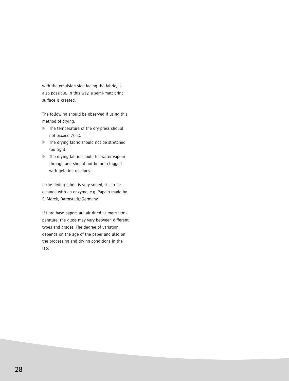with the emulsion side facing the fabric, is also possible. In this way, a semi-matt print surface is created.

The following should be observed if using this method of drying:

- The temperature of the dry press should not exceed 70°C.
- The drying fabric should not be stretched too tight.
- The drying fabric should let water vapour through and should not be not clogged with gelatine residues.

If the drying fabric is very soiled, it can be cleaned with an enzyme, e.g. Papain made by E. Merck, Darmstadt/Germany.

If fibre base papers are air dried at room temperature, the gloss may vary between different types and grades. The degree of variation depends on the age of the paper and also on the processing and drying conditions in the lab.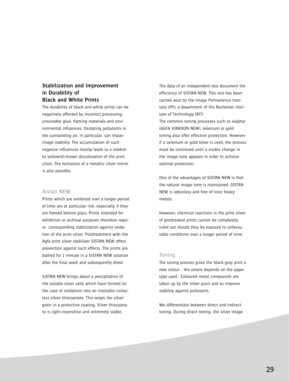## **Stabilization and Improvement in Durability of Black and White Prints**

The durability of black and white prints can be negatively affected by incorrect processing, unsuitable glue, framing materials and environmental influences. Oxidating pollutants in the surrounding air, in particular, can impair image stability. The accumulation of such negative influences mostly leads to a reddish to yellowish-brown discoloration of the print silver. The formation of a metallic silver mirror is also possible.

#### **Sistan NEW**

Prints which are exhibited over a longer period of time are at particular risk, especially if they are framed behind glass. Prints intended for exhibition or archival purposes therefore require corresponding stabilization against oxidation of the print silver. Posttreatment with the Agfa print silver stabilizer SISTAN NEW offers prevention against such effects. The prints are bathed for 1 minute in a SISTAN NEW solution after the final wash and subsequently dried.

SISTAN NEW brings about a precipitation of the soluble silver salts which have formed (in the case of oxidation) into an insoluble colourless silver thiocyanate. This wraps the silver grain in a protective coating. Silver thiocyanate is light-insensitive and extremely stable.

The data of an independent test document the efficiency of SISTAN NEW. This test has been carried aout by the Image Permanence Institute (IPI), a department of the Rochester Institute of Technology (RIT).

The common toning processes such as sulphur (AGFA VIRADON NEW), selenium or gold toning also offer effective protection. However if a selenium or gold toner is used, the process must be continued until a visible change in the image tone appears in order to achieve optimal protection.

One of the advantages of SISTAN NEW is that the natural image tone is maintained. SISTAN NEW is odourless and free of toxic heavy metals.

However, chemical reactions in the print silver of posttreated prints cannot be completely ruled out should they be exposed to unfavourable conditions over a longer period of time.

#### **Toning**

The toning process gives the black-grey print a new colour - the extent depends on the paper type used. Coloured metal compounds are taken up by the silver grain and so improve stability against pollutants.

We differentiate between direct and indirect toning. During direct toning, the silver image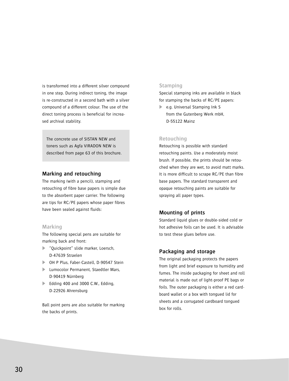is transformed into a different silver compound in one step. During indirect toning, the image is re-constructed in a second bath with a silver compound of a different colour. The use of the direct toning process is beneficial for increased archival stability.

The concrete use of SISTAN NEW and toners such as Agfa VIRADON NEW is described from page 63 of this brochure.

## **Marking and retouching**

The marking (with a pencil), stamping and retouching of fibre base papers is simple due to the absorbent paper carrier. The following are tips for RC/PE papers whose paper fibres have been sealed against fluids:

## **Marking**

The following special pens are suitable for marking back and front:

- **D** "Quickpoint" slide marker, Loersch, D-47639 Straelen
- OH P Plus, Faber-Castell, D-90547 Stein
- **Lumocolor Permanent, Staedtler Mars,** D-90419 Nürnberg
- Edding 400 and 3000 C.W., Edding, D-22926 Ahrensburg

Ball point pens are also suitable for marking the backs of prints.

## **Stamping**

Special stamping inks are available in black for stamping the backs of RC/PE papers:

- e.g. Universal Stamping Ink S from the Gutenberg Werk mbH, D-55122 Mainz

#### **Retouching**

Retouching is possible with standard retouching paints. Use a moderately moist brush. If possible, the prints should be retouched when they are wet, to avoid matt marks. It is more difficult to scrape RC/PE than fibre base papers. The standard transparent and opaque retouching paints are suitable for spraying all paper types.

## **Mounting of prints**

Standard liquid glues or double-sided cold or hot adhesive foils can be used. It is advisable to test these glues before use.

## **Packaging and storage**

The original packaging protects the papers from light and brief exposure to humidity and fumes. The inside packaging for sheet and roll material is made out of light-proof PE bags or foils. The outer packaging is either a red cardboard wallet or a box with tongued lid for sheets and a corrugated cardboard tongued box for rolls.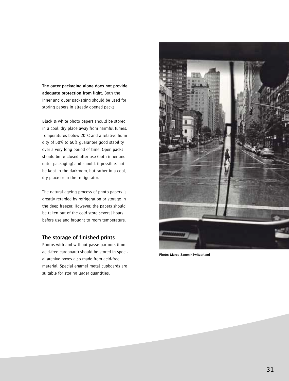**The outer packaging alone does not provide adequate protection from light.** Both the inner and outer packaging should be used for storing papers in already opened packs.

Black & white photo papers should be stored in a cool, dry place away from harmful fumes. Temperatures below 20°C and a relative humidity of 50% to 60% guarantee good stability over a very long period of time. Open packs should be re-closed after use (both inner and outer packaging) and should, if possible, not be kept in the darkroom, but rather in a cool, dry place or in the refrigerator.

The natural ageing process of photo papers is greatly retarded by refrigeration or storage in the deep freezer. However, the papers should be taken out of the cold store several hours before use and brought to room temperature.

## **The storage of finished prints**

Photos with and without passe-partouts (from acid-free cardboard) should be stored in special archive boxes also made from acid-free material. Special enamel metal cupboards are suitable for storing larger quantities.



**Photo: Marco Zanoni/Switzerland**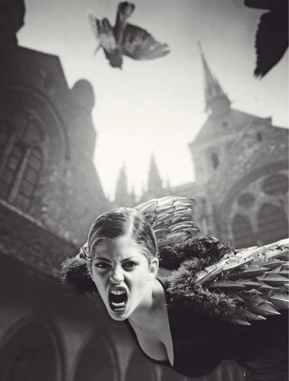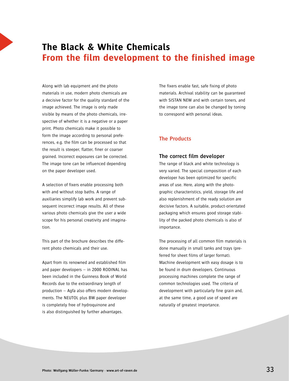## <span id="page-32-0"></span>**The Black & White Chemicals From the film development to the finished image**

Along with lab equipment and the photo materials in use, modern photo chemicals are a decisive factor for the quality standard of the image achieved. The image is only made visible by means of the photo chemicals, irrespective of whether it is a negative or a paper print. Photo chemicals make it possible to form the image according to personal preferences, e.g. the film can be processed so that the result is steeper, flatter, finer or coarser grained. Incorrect exposures can be corrected. The image tone can be influenced depending on the paper developer used.

A selection of fixers enable processing both with and without stop baths. A range of auxiliaries simplify lab work and prevent subsequent incorrect image results. All of these various photo chemicals give the user a wide scope for his personal creativity and imagination.

This part of the brochure describes the different photo chemicals and their use.

Apart from its renowned and established film and paper developers – in 2000 RODINAL has been included in the Guinness Book of World Records due to the extraordinary length of production – Agfa also offers modern developments. The NEUTOL plus BW paper developer is completely free of hydroquinone and is also distinguished by further advantages.

The fixers enable fast, safe fixing of photo materials. Archival stability can be guaranteed with SISTAN NEW and with certain toners, and the image tone can also be changed by toning to correspond with personal ideas.

## **The Products**

## **The correct film developer**

The range of black and white technology is very varied. The special composition of each developer has been optimized for specific areas of use. Here, along with the photographic characteristics, yield, storage life and also replenishment of the ready solution are decisive factors. A suitable, product-orientated packaging which ensures good storage stability of the packed photo chemicals is also of importance.

The processing of all common film materials is done manually in small tanks and trays (preferred for sheet films of larger format). Machine development with easy dosage is to be found in drum developers. Continuous processing machines complete the range of common technologies used. The criteria of development with particularly fine grain and, at the same time, a good use of speed are naturally of greatest importance.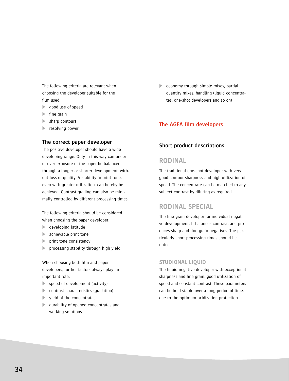<span id="page-33-0"></span>The following criteria are relevant when choosing the developer suitable for the film used:

- good use of speed
- $\blacktriangleright$  fine grain
- I sharp contours
- **Exercise 2** resolving power

## **The correct paper developer**

The positive developer should have a wide developing range. Only in this way can underor over-exposure of the paper be balanced through a longer or shorter development, without loss of quality. A stability in print tone, even with greater utilization, can hereby be achieved. Contrast grading can also be minimally controlled by different processing times.

The following criteria should be considered when choosing the paper developer:

- **Lette developing latitude**
- $\blacktriangleright$  achievable print tone
- **IF** print tone consistency
- processing stability through high yield

When choosing both film and paper developers, further factors always play an important role:

- speed of development (activity)
- contrast characteristics (gradation)
- In yield of the concentrates
- durability of opened concentrates and working solutions

**EXECO EXECO 12** economy through simple mixes, partial quantity mixes, handling (liquid concentrates, one-shot developers and so on)

## **The AGFA film developers**

## **Short product descriptions**

## **RODINAL**

The traditional one-shot developer with very good contour sharpness and high utilization of speed. The concentrate can be matched to any subject contrast by diluting as required.

## **RODINAL SPECIAL**

The fine-grain developer for individual negative development. It balances contrast, and produces sharp and fine-grain negatives. The particularly short processing times should be noted.

## **STUDIONAL LIQUID**

The liquid negative developer with exceptional sharpness and fine grain, good utilization of speed and constant contrast. These parameters can be held stable over a long period of time, due to the optimum oxidization protection.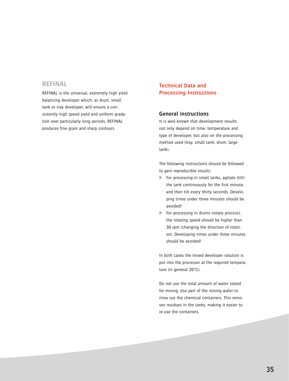## <span id="page-34-0"></span>**REFINAL**

REFINAL is the universal, extremely high yield balancing developer which, as drum, small tank or tray developer, will ensure a consistently high speed yield and uniform gradation over particularly long periods. REFINAL produces fine grain and sharp contours.

## **Technical Data and Processing Instructions**

## **General instructions**

It is well-known that development results not only depend on time, temperature and type of developer, but also on the processing method used (tray, small tank, drum, large tank).

The following instructions should be followed to gain reproducible results:

- For processing in small tanks, agitate (tilt) the tank continuously for the first minute, and then tilt every thirty seconds. Developing times under three minutes should be avoided!
- **For processing in drums (rotary process),** the rotating speed should be higher than 30 rpm (changing the direction of rotation). Developing times under three minutes should be avoided!

In both cases the mixed developer solution is put into the processor at the required temperature (in general 20°C).

Do not use the total amount of water stated for mixing. Use part of the mixing water to rinse out the chemical containers. This removes residues in the tanks, making it easier to re-use the containers.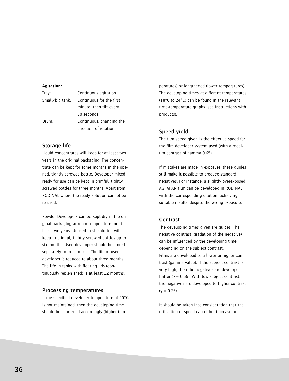#### **Agitation:**

| Tray:           | Continuous agitation     |
|-----------------|--------------------------|
| Small/big tank: | Continuous for the first |
|                 | minute, then tilt every  |
|                 | 30 seconds               |
| Drum:           | Continuous, changing the |
|                 | direction of rotation    |

#### **Storage life**

Liquid concentrates will keep for at least two years in the original packaging. The concentrate can be kept for some months in the opened, tightly screwed bottle. Developer mixed ready for use can be kept in brimful, tightly screwed bottles for three months. Apart from RODINAL where the ready solution cannot be re-used.

Powder Developers can be kept dry in the original packaging at room temperature for at least two years. Unused fresh solution will keep in brimful, tightly screwed bottles up to six months. Used developer should be stored separately to fresh mixes. The life of used developer is reduced to about three months. The life in tanks with floating lids (continuously replenished) is at least 12 months.

## **Processing temperatures**

If the specified developer temperature of 20°C is not maintained, then the developing time should be shortened accordingly (higher temperatures) or lengthened (lower temperatures). The developing times at different temperatures (18°C to 24°C) can be found in the relevant time-temperature graphs (see instructions with products).

#### **Speed yield**

The film speed given is the effective speed for the film developer system used (with a medium contrast of gamma 0.65).

If mistakes are made in exposure, these guides still make it possible to produce standard negatives. For instance, a slightly overexposed AGFAPAN film can be developed in RODINAL with the corresponding dilution, achieving suitable results, despite the wrong exposure.

#### **Contrast**

The developing times given are guides. The negative contrast (gradation of the negative) can be influenced by the developing time, depending on the subject contrast: Films are developed to a lower or higher contrast (gamma value). If the subject contrast is very high, then the negatives are developed flatter (γ = 0.55). With low subject contrast, the negatives are developed to higher contrast (γ = 0.75).

It should be taken into consideration that the utilization of speed can either increase or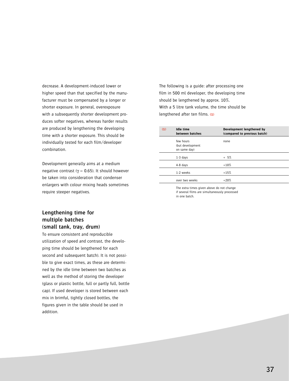decrease. A development-induced lower or higher speed than that specified by the manufacturer must be compensated by a longer or shorter exposure. In general, overexposure with a subsequently shorter development produces softer negatives, whereas harder results are produced by lengthening the developing time with a shorter exposure. This should be individually tested for each film/developer combination.

Development generally aims at a medium negative contrast ( $γ = 0.65$ ). It should however be taken into consideration that condenser enlargers with colour mixing heads sometimes require steeper negatives.

## **Lengthening time for multiple batches (small tank, tray, drum)**

To ensure consistent and reproducible utilization of speed and contrast, the developing time should be lengthened for each second and subsequent batch). It is not possible to give exact times, as these are determined by the idle time between two batches as well as the method of storing the developer (glass or plastic bottle, full or partly full, bottle cap). If used developer is stored between each mix in brimful, tightly closed bottles, the figures given in the table should be used in addition.

The following is a guide: after processing one film in 500 ml developer, the developing time should be lengthened by approx. 10%. With a 5 litre tank volume, the time should be lengthened after ten films. **(1)**

| (1) | <b>Idle time</b><br>between batches           | Development lengthened by<br>(compared to previous batch) |
|-----|-----------------------------------------------|-----------------------------------------------------------|
|     | few hours<br>(but development<br>on same day) | none                                                      |
|     | $1-3$ days                                    | $+5%$                                                     |
|     | $4-8$ days                                    | $+10%$                                                    |
|     | 1-2 weeks                                     | $+15%$                                                    |
|     | over two weeks                                | $+20%$                                                    |
|     |                                               |                                                           |

The extra times given above do not change if several films are simultaneously processed in one batch.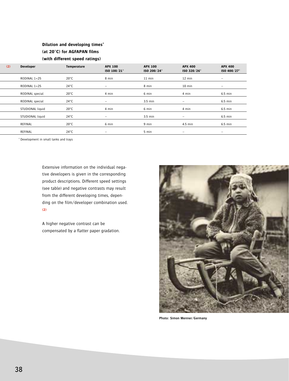## **Dilution and developing times\* (at 20°C) for AGFAPAN films (with different speed ratings)**

| (2) | <b>Developer</b> | Temperature    | <b>APX 100</b><br>ISO 100/21° | <b>APX 100</b><br>ISO 200/24° | <b>APX 400</b><br>ISO 320/26° | <b>APX 400</b><br>ISO 400/27° |
|-----|------------------|----------------|-------------------------------|-------------------------------|-------------------------------|-------------------------------|
|     | RODINAL 1+25     | $20^{\circ}$ C | 8 min                         | $11$ min                      | $12 \text{ min}$              | -                             |
|     | RODINAL 1+25     | $24^{\circ}$ C | $\overline{\phantom{0}}$      | 8 min                         | $10$ min                      | $\overline{\phantom{0}}$      |
|     | RODINAL special  | $20^{\circ}$ C | 4 min                         | 6 min                         | 4 min                         | $6.5$ min                     |
|     | RODINAL special  | $24^{\circ}$ C | $\overline{\phantom{0}}$      | 3.5 min                       | -                             | $6.5$ min                     |
|     | STUDIONAL liquid | $20^{\circ}$ C | 4 min                         | 6 min                         | 4 min                         | $6.5$ min                     |
|     | STUDIONAL liquid | $24^{\circ}$ C | $\overline{\phantom{0}}$      | $3.5$ min                     | -                             | $6.5$ min                     |
|     | REFINAL          | $20^{\circ}$ C | 6 min                         | 9 min                         | $4.5$ min                     | $6.5$ min                     |
|     | REFINAL          | $24^{\circ}$ C | $\qquad \qquad -$             | 5 min                         | -                             | $\overline{\phantom{a}}$      |
|     |                  |                |                               |                               |                               |                               |

\* Development in small tanks and trays

Extensive information on the individual negative developers is given in the corresponding product descriptions. Different speed settings (see table) and negative contrasts may result from the different developing times, depending on the film/developer combination used. **(2)**

A higher negative contrast can be compensated by a flatter paper gradation.



**Photo: Simon Menner/Germany**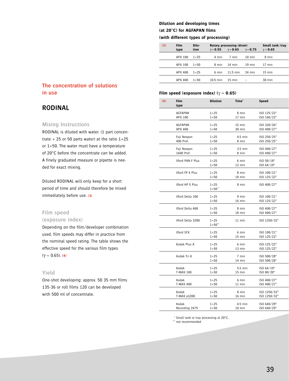## **Dilution and developing times (at 20°C) for AGFAPAN films (with different types of processing)**

| (3) | <b>Film</b><br>type | Dilu-<br>tion | $\gamma = 0.55$ | Rotary processing (drum)<br>$\gamma = 0.65$ | $\gamma = 0.75$  | Small tank/tray<br>$\gamma = 0.65$ |
|-----|---------------------|---------------|-----------------|---------------------------------------------|------------------|------------------------------------|
|     | APX 100             | $1+25$        | 4 min           | 7 min                                       | $10 \text{ min}$ | 8 min                              |
|     | APX 100             | $1 + 50$      | 8 min           | $14 \text{ min}$                            | $19$ min         | $17$ min                           |
|     | APX 400             | $1+25$        | 6 min           | $11.5$ min                                  | 24 min           | $15 \text{ min}$                   |
|     | APX 400             | $1 + 50$      | $10.5$ min      | $15 \text{ min}$                            | -                | 30 min                             |

#### **Film speed (exposure index) (** $\gamma = 0.65$ **)**

| (4) | Film<br>type              | <b>Dilution</b>      | Time <sup>*</sup>             | Speed                               |
|-----|---------------------------|----------------------|-------------------------------|-------------------------------------|
|     | AGFAPAN<br>APX 100        | $1 + 25$<br>$1 + 50$ | 8 min<br>17 min               | ISO 125/22°<br>ISO 160/23°          |
|     | AGFAPAN<br>APX 400        | $1 + 25$<br>$1 + 50$ | 15 min<br>30 min              | ISO 320/26°<br>ISO 400/27°          |
|     | Fuji Neopan<br>400 Prof.  | $1+25$<br>$1 + 50$   | $4.5$ min<br>8 min            | ISO 250/25°<br>ISO 250/25°          |
|     | Fuji Neopan<br>1600 Prof. | $1 + 25$<br>$1 + 50$ | $3.5$ min<br>8 min            | ISO 400/27°<br>ISO 400/27°          |
|     | <b>Ilford PAN-F Plus</b>  | $1 + 25$<br>$1 + 50$ | 6 min<br>12 min               | ISO 50/18°<br>ISO 64/19 $^{\circ}$  |
|     | Ilford FP 4 Plus          | $1+25$<br>$1 + 50$   | 8 min<br>18 min               | ISO 100/21°<br>ISO 125/22°          |
|     | Ilford HP 5 Plus          | $1+25$<br>$1+50**$   | 8 min                         | ISO 400/27°                         |
|     | Ilford Delta 100          | $1 + 25$<br>$1 + 50$ | 9 min<br>16 min               | ISO 100/21°<br>ISO 125/22°          |
|     | Ilford Delta 400          | $1 + 25$<br>$1 + 50$ | 8 min<br>18 min               | ISO 400/27°<br>ISO 400/27°          |
|     | Ilford Delta 3200         | $1 + 25$<br>$1+50**$ | 11 min                        | ISO 1250/32°                        |
|     | <b>Ilford SFX</b>         | $1+25$<br>$1 + 50$   | 6 min<br>$15$ min             | ISO 100/21°<br>ISO 125/22°          |
|     | Kodak Plus-X              | $1 + 25$<br>$1 + 50$ | 6 min<br>13 min               | ISO 125/22°<br>ISO 125/22°          |
|     | Kodak Tri-X               | $1 + 25$<br>$1 + 50$ | 7 min<br>14 min               | ISO 500/28°<br>ISO 500/28°          |
|     | Kodak<br><b>T-MAX 100</b> | $1+25$<br>$1 + 50$   | 5.5 min<br>$15$ min           | ISO 64/19 $^{\circ}$<br>ISO 80/20°  |
|     | Kodak<br><b>T-MAX 400</b> | $1 + 25$<br>$1 + 50$ | 6 min<br>$11$ min             | ISO 400/27°<br>ISO 400/27°          |
|     | Kodak<br>T-MAX p3200      | $1 + 25$<br>$1 + 50$ | 8 min<br>16 min               | ISO 1250/32°<br>ISO 1250/32°        |
|     | Kodak<br>Recording 2475   | $1+25$<br>$1 + 50$   | $4.5$ min<br>$10 \text{ min}$ | ISO 640/29 $^{\circ}$<br>150640/29° |

\* Small tank or tray processing at 20°C.

\*\* not recommended

## **The concentration of solutions in use**

## **RODINAL**

## **Mixing Instructions**

RODINAL is diluted with water. (1 part concentrate  $+ 25$  or 50 parts water) at the ratio  $1+25$ or 1+50. The water must have a temperature of 20°C before the concentrate can be added. A finely graduated measure or pipette is needed for exact mixing.

Diluted RODINAL will only keep for a short period of time and should therefore be mixed immediately before use. **(3)**

## **Film speed**

**(exposure index)**

Depending on the film/developer combination used, film speeds may differ in practice from the nominal speed rating. The table shows the effective speed for the various film types (γ = 0.65). **(4)**

## **Yield**

One-shot developing: approx. 50 35 mm films 135-36 or roll films 120 can be developed with 500 ml of concentrate.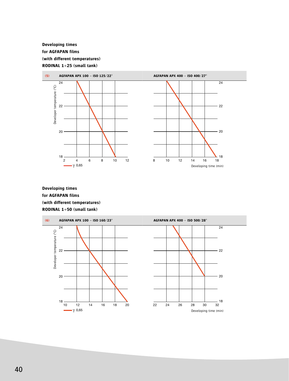**Developing times for AGFAPAN films (with different temperatures) RODINAL 1+25 (small tank)**



## **Developing times for AGFAPAN films (with different temperatures) RODINAL 1+50 (small tank)**

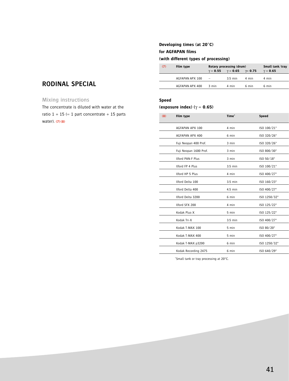## **Developing times (at 20°C)**

## **for AGFAPAN films**

**(with different types of processing)**

| (7) | Film type       | $\gamma = 0.55$          | Rotary processing (drum)<br>$\gamma = 0.65$ | Small tank/tray<br>$\gamma = 0.65$ |       |
|-----|-----------------|--------------------------|---------------------------------------------|------------------------------------|-------|
|     | AGFAPAN APX 100 | $\overline{\phantom{m}}$ | $3.5 \text{ min}$                           | 4 min                              | 4 min |
|     | AGFAPAN APX 400 | 3 min                    | 4 min                                       | 6 min                              | 6 min |
|     |                 |                          |                                             |                                    |       |

## **Speed**

**(exposure index) (**γ **= 0.65)**

| <b>Film type</b>         | Time <sup>*</sup> | <b>Speed</b> |
|--------------------------|-------------------|--------------|
| AGFAPAN APX 100          | 4 min             | ISO 100/21°  |
| AGFAPAN APX 400          | 6 min             | ISO 320/26°  |
| Fuji Neopan 400 Prof.    | 3 min             | ISO 320/26°  |
| Fuji Neopan 1600 Prof.   | 3 min             | ISO 800/30°  |
| <b>Ilford PAN-F Plus</b> | 3 min             | ISO 50/18°   |
| Ilford FP 4 Plus         | $3.5$ min         | ISO 100/21°  |
| Ilford HP 5 Plus         | 4 min             | ISO 400/27°  |
| Ilford Delta 100         | 3.5 min           | ISO 160/23°  |
| Ilford Delta 400         | 4.5 min           | ISO 400/27°  |
| Ilford Delta 3200        | 6 min             | ISO 1250/32° |
| Ilford SFX 200           | 4 min             | ISO 125/22°  |
| Kodak Plus-X             | 5 min             | ISO 125/22°  |
| Kodak Tri-X              | $3.5$ min         | ISO 400/27°  |
| Kodak T-MAX 100          | 5 min             | ISO 80/20°   |
| Kodak T-MAX 400          | 5 min             | ISO 400/27°  |
| Kodak T-MAX p3200        | 6 min             | ISO 1250/32° |
| Kodak Recording 2475     | 6 min             | ISO 640/29°  |
|                          |                   |              |

\*Small tank or tray processing at 20°C.

## **RODINAL SPECIAL**

## **Mixing instructions**

The concentrate is diluted with water at the ratio  $1 + 15 (= 1$  part concentrate  $+ 15$  parts water). **(7) (8)**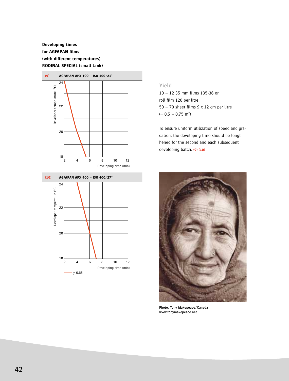**Developing times for AGFAPAN films (with different temperatures) RODINAL SPECIAL (small tank)**





## **Yield**

10 – 12 35 mm films 135-36 or roll film 120 per litre 50 – 70 sheet films 9 x 12 cm per litre  $(= 0.5 - 0.75$  m<sup>2</sup>)

To ensure uniform utilization of speed and gradation, the developing time should be lengthened for the second and each subsequent developing batch. **(9) (10)**



**Photo: Tony Makepeace/Canada www.tonymakepeace.net**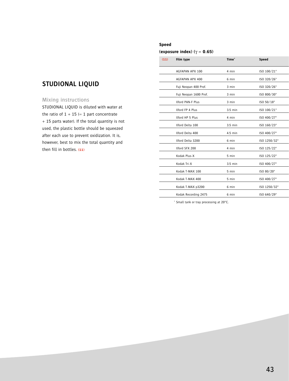#### **Speed**

## **(exposure index) (**γ **= 0.65)**

| (11) | <b>Film type</b>         | Time*     | <b>Speed</b>      |
|------|--------------------------|-----------|-------------------|
|      | AGFAPAN APX 100          | 4 min     | ISO 100/21°       |
|      | AGFAPAN APX 400          | 6 min     | ISO 320/26°       |
|      | Fuji Neopan 400 Prof.    | 3 min     | ISO 320/26°       |
|      | Fuji Neopan 1600 Prof.   | 3 min     | ISO 800/30°       |
|      | <b>Ilford PAN-F Plus</b> | 3 min     | ISO $50/18^\circ$ |
|      | <b>Ilford FP 4 Plus</b>  | $3.5$ min | ISO 100/21°       |
|      | Ilford HP 5 Plus         | 4 min     | ISO 400/27°       |
|      | Ilford Delta 100         | 3.5 min   | ISO 160/23°       |
|      | Ilford Delta 400         | $4.5$ min | ISO 400/27°       |
|      | Ilford Delta 3200        | 6 min     | ISO 1250/32°      |
|      | Ilford SFX 200           | 4 min     | ISO 125/22°       |
|      | Kodak Plus-X             | 5 min     | ISO 125/22°       |
|      | Kodak Tri-X              | $3.5$ min | ISO 400/27°       |
|      | Kodak T-MAX 100          | 5 min     | ISO 80/20°        |
|      | Kodak T-MAX 400          | 5 min     | ISO 400/27°       |
|      | Kodak T-MAX p3200        | 6 min     | ISO 1250/32°      |
|      | Kodak Recording 2475     | 6 min     | ISO 640/29°       |
|      |                          |           |                   |

\* Small tank or tray processing at 20°C.

## **STUDIONAL LIQUID**

## **Mixing instructions**

STUDIONAL LIQUID is diluted with water at the ratio of  $1 + 15 (= 1$  part concentrate + 15 parts water). If the total quantity is not used, the plastic bottle should be squeezed after each use to prevent oxidization. It is, however, best to mix the total quantity and then fill in bottles. **(11)**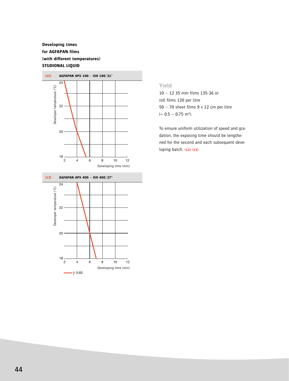**Developing times for AGFAPAN films (with different temperatures) STUDIONAL LIQUID**





## **Yield**

10 – 12 35 mm films 135-36 or roll films 120 per litre 50 – 70 sheet films 9 x 12 cm per litre  $(= 0.5 - 0.75$  m<sup>2</sup>).

To ensure uniform utilization of speed and gradation, the exposing time should be lengthened for the second and each subsequent developing batch. **(12) (13)**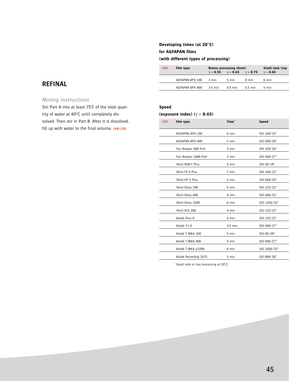## **Developing times (at 20°C) for AGFAPAN films (with different types of processing)**

| (14) | Film type       |                   | Rotary processing (drum) | Small tank/tray |                 |
|------|-----------------|-------------------|--------------------------|-----------------|-----------------|
|      |                 | $\gamma = 0.55$   | $\gamma = 0.65$          | $\gamma = 0.75$ | $\gamma = 0.65$ |
|      | AGFAPAN APX 100 | 3 min             | 5 min                    | 8 min           | 6 min           |
|      | AGFAPAN APX 400 | $3.5 \text{ min}$ | $4.5$ min                | $6.5$ min       | 5 min           |
|      |                 |                   |                          |                 |                 |

## **Speed**

#### **(exposure index) (**γ **= 0.65)**

| (15) | <b>Film type</b>         | Time <sup>*</sup> | <b>Speed</b> |
|------|--------------------------|-------------------|--------------|
|      | AGFAPAN APX 100          | 6 min             | ISO 160/23°  |
|      | AGFAPAN APX 400          | 5 min             | ISO 500/28°  |
|      | Fuji Neopan 400 Prof.    | 3 min             | ISO 320/26°  |
|      | Fuji Neopan 1600 Prof.   | 2 min             | ISO 400/27°  |
|      | <b>Ilford PAN-F Plus</b> | 4 min             | ISO 50/18°   |
|      | Ilford FP 4 Plus         | 7 min             | ISO 160/23°  |
|      | Ilford HP 5 Plus         | 5 min             | ISO 640/29°  |
|      | Ilford Delta 100         | 5 min             | ISO 125/22°  |
|      | Ilford Delta 400         | 4 min             | ISO 400/32°  |
|      | Ilford Delta 3200        | 6 min             | ISO 1250/32° |
|      | Ilford SFX 200           | 4 min             | ISO 125/22°  |
|      | Kodak Plus-X             | 4 min             | ISO 125/22°  |
|      | Kodak Tri-X              | $3.5$ min         | ISO 400/27°  |
|      | Kodak T-MAX 100          | 5 min             | ISO 80/20°   |
|      | Kodak T-MAX 400          | 4 min             | ISO 400/27°  |
|      | Kodak T-MAX p3200        | 6 min             | ISO 1600/33° |
|      | Kodak Recording 2475     | 5 min             | ISO 800/30°  |

\* Small tank or tray processing at 20°C.

## **REFINAL**

## **Mixing instructions**

Stir Part A into at least 75% of the total quantity of water at 40°C until completely dissolved. Then stir in Part B. After it is dissolved, fill up with water to the final volume. **(14) (15)**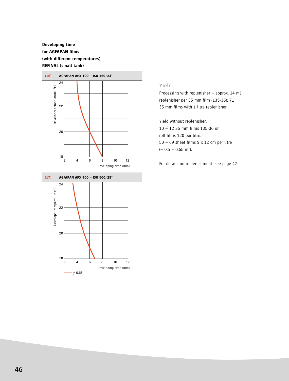**Developing time for AGFAPAN films (with different temperatures) REFINAL (small tank)**





## **Yield**

Processing with replenisher – approx. 14 ml replenisher per 35 mm film (135-36); 71 35 mm films with 1 litre replenisher

Yield without replenisher: 10 – 12 35 mm films 135-36 or roll films 120 per litre. 50 – 69 sheet films 9 x 12 cm per litre  $(= 0.5 - 0.65$  m<sup>2</sup>).

For details on replenishment: see page 47.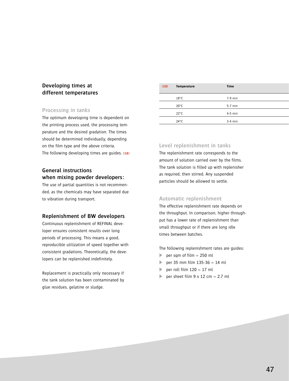## **Developing times at different temperatures**

## **Processing in tanks**

The optimum developing time is dependent on the printing process used, the processing temperature and the desired gradation. The times should be determined individually, depending on the film type and the above criteria. The following developing times are guides. **(18)**

## **General instructions when mixing powder developers:**

The use of partial quantities is not recommended, as the chemicals may have separated due to vibration during transport.

## **Replenishment of BW developers**

Continuous replenishment of REFINAL developer ensures consistent results over long periods of processing. This means a good, reproducible utilization of speed together with consistent gradations. Theoretically, the developers can be replenished indefinitely.

Replacement is practically only necessary if the tank solution has been contaminated by glue residues, gelatine or sludge.

| (18) | <b>Temperature</b> | <b>Time</b> |
|------|--------------------|-------------|
|      | $18^{\circ}$ C     | $7-9$ min   |
|      | $20^{\circ}$ C     | $5-7$ min   |
|      | $22^{\circ}$ C     | $4-5$ min   |
|      | $24^{\circ}$ C     | $3-4$ min   |
|      |                    |             |

## **Level replenishment in tanks**

The replenishment rate corresponds to the amount of solution carried over by the films. The tank solution is filled up with replenisher as required, then stirred. Any suspended particles should be allowed to settle.

## **Automatic replenishment**

The effective replenishment rate depends on the throughput. In comparison, higher throughput has a lower rate of replenishment than small throughput or if there are long idle times between batches.

The following replenishment rates are guides:

- $\triangleright$  per sqm of film = 250 ml
- **•** per 35 mm film  $135-36 = 14$  ml
- $\triangleright$  per roll film 120 = 17 ml
- $\blacktriangleright$ per sheet film  $9 \times 12$  cm = 2.7 ml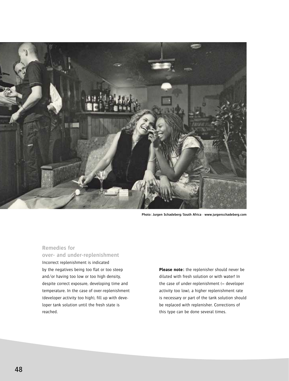

**Photo: Jurgen Schadeberg/South Africa · www.jurgenschadeberg.com**

## **Remedies for over- and under-replenishment**

Incorrect replenishment is indicated by the negatives being too flat or too steep and/or having too low or too high density, despite correct exposure, developing time and temperature. In the case of over-replenishment (developer activity too high), fill up with developer tank solution until the fresh state is reached.

**Please note:** the replenisher should never be diluted with fresh solution or with water! In the case of under-replenishment  $(=$  developer activity too low), a higher replenishment rate is necessary or part of the tank solution should be replaced with replenisher. Corrections of this type can be done several times.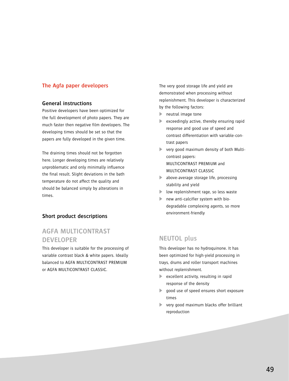## <span id="page-48-0"></span>**The Agfa paper developers**

## **General instructions**

Positive developers have been optimized for the full development of photo papers. They are much faster then negative film developers. The developing times should be set so that the papers are fully developed in the given time.

The draining times should not be forgotten here. Longer developing times are relatively unproblematic and only minimally influence the final result. Slight deviations in the bath temperature do not affect the quality and should be balanced simply by alterations in times.

## **Short product descriptions**

## **AGFA MULTICONTRAST DEVELOPER**

This developer is suitable for the processing of variable contrast black & white papers. Ideally balanced to AGFA MULTICONTRAST PREMIUM or AGFA MULTICONTRAST CLASSIC.

The very good storage life and yield are demonstrated when processing without replenishment. This developer is characterized by the following factors:

- **I** neutral image tone
- **Exceedingly active, thereby ensuring rapid** response and good use of speed and contrast differentiation with variable-contrast papers
- very good maximum density of both Multicontrast papers: MULTICONTRAST PREMIUM and MULTICONTRAST CLASSIC
- above-average storage life, processing stability and yield
- I low replenishment rage, so less waste
- new anti-calcifier system with biodegradable complexing agents, so more environment-friendly

## **NEUTOL plus**

This developer has no hydroquinone. It has been optimized for high-yield processing in trays, drums and roller transport machines without replenishment.

- excellent activity, resulting in rapid response of the density
- signed use of speed ensures short exposure times
- very good maximum blacks offer brilliant reproduction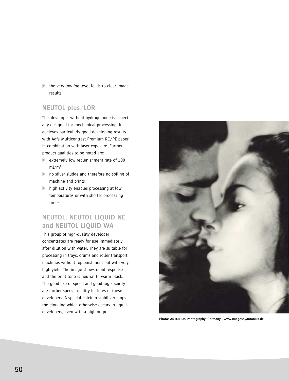- the very low fog level leads to clear image results

## **NEUTOL plus/LOR**

This developer without hydroquinone is especially designed for mechanical processing. It achieves particularly good developing results with Agfa Multicontrast Premium RC/PE paper in combination with laser exposure. Further product qualities to be noted are:

- extremely low replenishment rate of 100  $ml/m<sup>2</sup>$
- **IF** no silver sludge and therefore no soiling of machine and prints
- high activity enables processing at low temperatures or with shorter processing times

## **NEUTOL, NEUTOL LIQUID NE and NEUTOL LIQUID WA**

This group of high-quality developer concentrates are ready for use immediately after dilution with water. They are suitable for processing in trays, drums and roller transport machines without replenishment but with very high yield. The image shows rapid response and the print tone is neutral to warm black. The good use of speed and good fog security are further special quality features of these developers. A special calcium stabilizer stops the clouding which otherwise occurs in liquid developers, even with a high output.



**Photo: ANTONIUS Photography/Germany · www.imagesbyantonius.de**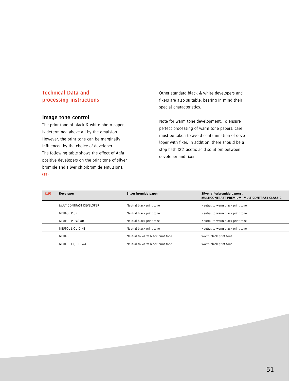## **Technical Data and processing instructions**

## **Image tone control**

The print tone of black & white photo papers is determined above all by the emulsion. However, the print tone can be marginally influenced by the choice of developer. The following table shows the effect of Agfa positive developers on the print tone of silver bromide and silver chlorbromide emulsions. **(19)**

Other standard black & white developers and fixers are also suitable, bearing in mind their special characteristics.

Note for warm tone development: To ensure perfect processing of warm tone papers, care must be taken to avoid contamination of developer with fixer. In addition, there should be a stop bath (2% acetic acid solution) between developer and fixer.

| (19) | <b>Developer</b>        | Silver bromide paper             | Silver chlorbromide papers:<br>MULTICONTRAST PREMIUM, MULTICONTRAST CLASSIC |
|------|-------------------------|----------------------------------|-----------------------------------------------------------------------------|
|      | MULTICONTRAST DEVELOPER | Neutral black print tone         | Neutral to warm black print tone                                            |
|      | <b>NEUTOL Plus</b>      | Neutral black print tone         | Neutral to warm black print tone                                            |
|      | NEUTOL Plus/LOR         | Neutral black print tone         | Neutral to warm black print tone                                            |
|      | NEUTOL LIQUID NE        | Neutral black print tone         | Neutral to warm black print tone                                            |
|      | NEUTOL                  | Neutral to warm black print tone | Warm black print tone                                                       |
|      | NEUTOL LIQUID WA        | Neutral to warm black print tone | Warm black print tone                                                       |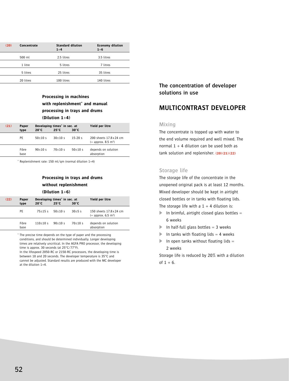| (20) | Concentrate | <b>Standard dilution</b><br>$1 + 4$ | <b>Economy dilution</b><br>$1 + 6$ |
|------|-------------|-------------------------------------|------------------------------------|
|      | 500 ml      | 2.5 litres                          | 3.5 litres                         |
|      | 1 litre     | 5 litres                            | 7 litres                           |
|      | 5 litres    | 25 litres                           | 35 litres                          |
|      | 20 litres   | 100 litres                          | 140 litres                         |

## **Processing in machines with replenishment\* and manual processing in trays and drums (Dilution 1+4)**

| (21) | Paper                |                                                    | Developing times <sup>*</sup> in sec. at |          | Yield per litre                                              |
|------|----------------------|----------------------------------------------------|------------------------------------------|----------|--------------------------------------------------------------|
|      | type                 | $25^{\circ}$ C<br>$20^{\circ}$ C<br>$30^{\circ}$ C |                                          |          |                                                              |
|      | PE                   | $50+10s$                                           | $30+10 s$                                | $15-20s$ | 200 sheets 17.8 x 24 cm<br>$(=$ approx. 8.5 m <sup>2</sup> ) |
|      | <b>Fibre</b><br>base | $90+10s$                                           | $70+10 s$                                | $50+10s$ | depends on solution<br>absorption                            |

 $*$  Replenishment rate: 150 ml/qm (normal dilution 1+4)

## **Processing in trays and drums without replenishment**

#### **(Dilution 1+6)**

| (22) | Paper                | $20^{\circ}$ C | Developing times <sup>*</sup> in sec. at |                | Yield per litre                                              |
|------|----------------------|----------------|------------------------------------------|----------------|--------------------------------------------------------------|
|      | type                 |                | $25^{\circ}$ C                           | $30^{\circ}$ C |                                                              |
|      | PE                   | $75+15s$       | $50+10 s$                                | $30+5s$        | 150 sheets 17.8 x 24 cm<br>$(=$ approx. 6,5 m <sup>2</sup> ) |
|      | <b>Fibre</b><br>base | $110+10 s$     | $90+10 s$                                | $70+10s$       | depends on solution<br>absorption                            |

\* The precise time depends on the type of paper and the processing conditions, and should be determined individually. Longer developing times are relatively uncritical. In the AGFA PRO processor, the developing time is approx. 30 seconds (at 25°C/77°F).

In the Ilfospeed 2050-RC or 2150-RC processors, the developing time is between 10 and 20 seconds. The developer temperature is 35°C and cannot be adjusted. Standard results are produced with the MC developer at the dilution 1+4.

## **The concentration of developer solutions in use**

## **MULTICONTRAST DEVELOPER**

#### **Mixing**

The concentrate is topped up with water to the end volume required and well mixed. The normal  $1 + 4$  dilution can be used both as tank solution and replenisher. **(20) (21) (22)**

## **Storage life**

The storage life of the concentrate in the unopened original pack is at least 12 months. Mixed developer should be kept in airtight closed bottles or in tanks with floating lids. The storage life with a  $1 + 4$  dilution is:

- In brimful, airtight closed glass bottles  $=$ 6 weeks
- In half-full glass bottles  $=$  3 weeks
- In tanks with floating lids  $=$  4 weeks
- In open tanks without floating lids  $=$ 2 weeks

Storage life is reduced by 20% with a dilution of  $1 + 6$ .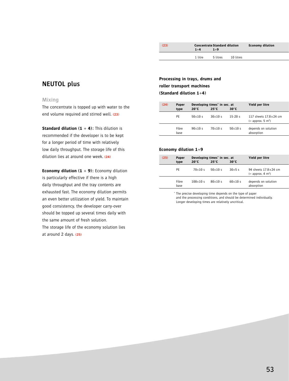| (23) | <b>Concentrate Standard dilution</b> |          |           | <b>Economy dilution</b> |
|------|--------------------------------------|----------|-----------|-------------------------|
|      | $1 + 4$                              | $1 + 9$  |           |                         |
|      | 1 litre                              | 5 litres | 10 litres |                         |
|      |                                      |          |           |                         |

## **NEUTOL plus**

#### **Mixing**

The concentrate is topped up with water to the end volume required and stirred well. **(23)**

**Standard dilution (1 + 4):** This dilution is recommended if the developer is to be kept for a longer period of time with relatively low daily throughput. The storage life of this dilution lies at around one week. **(24)**

**Economy dilution (1 + 9):** Economy dilution is particularly effective if there is a high daily throughput and the tray contents are exhausted fast. The economy dilution permits an even better utilization of yield. To maintain good consistency, the developer carry-over should be topped up several times daily with the same amount of fresh solution. The storage life of the economy solution lies at around 2 days. **(25)**

## **Processing in trays, drums and roller transport machines (Standard dilution 1+4)**

| (24) | Paper<br>type | $20^{\circ}$ C | Developing times <sup>*</sup> in sec. at<br>$25^{\circ}$ C | Yield per litre |                                                            |
|------|---------------|----------------|------------------------------------------------------------|-----------------|------------------------------------------------------------|
|      | PE            | $50+10s$       | $30+10s$                                                   | $15-20s$        | 117 sheets 17.8 x 24 cm<br>$(=$ approx. 5 m <sup>2</sup> ) |
|      | Fibre<br>base | $90+10 s$      | $70+10 s$                                                  | $50+10s$        | depends on solution<br>absorption                          |

#### **Economy dilution 1+9**

| (25) | Paper<br>type | $20^{\circ}$ C | Developing times <sup>*</sup> in sec. at<br>$25^{\circ}$ C<br>$30^{\circ}$ C |          | Yield per litre                                           |
|------|---------------|----------------|------------------------------------------------------------------------------|----------|-----------------------------------------------------------|
|      | PE            | $70+10s$       | $50+10s$                                                                     | $30+5s$  | 94 sheets 17.8 x 24 cm<br>$(=$ approx. 4 m <sup>2</sup> ) |
|      | Fibre<br>base | $100+10 s$     | $80+10 s$                                                                    | $60+10s$ | depends on solution<br>absorption                         |

\* The precise developing time depends on the type of paper and the processing conditions, and should be determined individually. Longer developing times are relatively uncritical.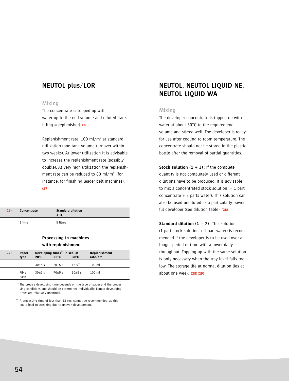## **NEUTOL plus/LOR**

#### **Mixing**

The concentrate is topped up with water up to the end volume and diluted (tank filling = replenisher). **(26)**

Replenishment rate: 100 ml/m2 at standard utilization (one tank volume turnover within two weeks). At lower utilization it is advisable to increase the replenishment rate (possibly double). At very high utilization the replenishment rate can be reduced to 80 ml/m2 (for instance, for finishing leader belt machines). **(27)**

| (26) | Concentrate | <b>Standard dilution</b><br>$1 + 4$ |
|------|-------------|-------------------------------------|
|      | 1 litre     | 5 litres                            |

## **Processing in machines with replenishment**

| (27) | Paper<br>type        | $20^{\circ}$ C | Developing times <sup>**</sup> in sec. at<br>$25^{\circ}$ C | $30^{\circ}$ C | Replenishment<br>rate/qm |
|------|----------------------|----------------|-------------------------------------------------------------|----------------|--------------------------|
|      | PE                   | $30+5s$        | $20+5s$                                                     | $18s^{**}$     | 100 ml                   |
|      | <b>Fibre</b><br>base | $30+5s$        | $70+5s$                                                     | $30+5s$        | $100$ ml                 |

\* The precise developing time depends on the type of paper and the processing conditions and should be determined individually. Longer developing times are relatively unciritcal.

\*\* A processing time of less than 18 sec. cannot be recommended, as this could lead to streaking due to uneven development.

## **NEUTOL, NEUTOL LIQUID NE, NEUTOL LIQUID WA**

#### **Mixing**

The developer concentrate is topped up with water at about 30°C to the required end volume and stirred well. The developer is ready for use after cooling to room temperature. The concentrate should not be stored in the plastic bottle after the removal of partial quantities.

**Stock solution (1 + 3):** If the complete quantity is not completely used or different dilutions have to be produced, it is advisable to mix a concentrated stock solution  $(= 1$  part concentrate  $+3$  parts water). This solution can also be used undiluted as a particularly powerful developer (see dilution table). **(28)**

**Standard dilution (1 + 7):** This solution (1 part stock solution  $+ 1$  part water) is recommended if the developer is to be used over a longer period of time with a lower daily throughput. Topping up with the same solution is only necessary when the tray level falls too low. The storage life at normal dilution lies at about one week. **(28) (29)**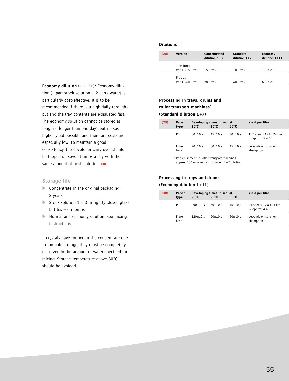**Economy dilution (1 + 11):** Economy dilution (1 part stock solution  $+ 2$  parts water) is particularly cost-effective. It is to be recommended if there is a high daily throughput and the tray contents are exhausted fast. The economy solution cannot be stored as long (no longer than one day), but makes higher yield possible and therefore costs are especially low. To maintain a good consistency, the developer carry-over should be topped up several times a day with the same amount of fresh solution. **(30)**

## **Storage life**

- $\triangleright$  Concentrate in the original packaging = 2 years
- Stock solution  $1 + 3$  in tightly closed glass  $bottles = 6$  months
- Normal and economy dilution: see mixing instructions

If crystals have formed in the concentrate due to too cold storage, they must be completely dissolved in the amount of water specified for mixing. Storage temperature above 30°C should be avoided.

#### **Dilutions**

| (28) | <b>Version</b>                    | Concentrated<br>dilution $1+3$ | <b>Standard</b><br>dilution $1+7$ | <b>Economy</b><br>dilution $1+11$ |
|------|-----------------------------------|--------------------------------|-----------------------------------|-----------------------------------|
|      | 1.25 litres<br>(for 10-15 litres) | 5 litres                       | 10 litres                         | 15 litres                         |
|      | 5 litres<br>(for 40-60 litres)    | 20 litres                      | 40 litres                         | 60 litres                         |

#### **Processing in trays, drums and**

#### **roller transport machines\***

**(Standard dilution 1+7)**

| (29) | Paper<br>type | $20^{\circ}$ C | Developing times in sec. at<br>$25^{\circ}$ C | $30^{\circ}$ C | Yield per litre                                            |
|------|---------------|----------------|-----------------------------------------------|----------------|------------------------------------------------------------|
|      | PE            | $60+10s$       | $45+10s$                                      | $30+10s$       | 117 sheets 17.8 x 24 cm<br>$(=$ approx. 5 m <sup>2</sup> ) |
|      | Fibre<br>base | $90+10s$       | $60+10s$                                      | $45+10s$       | depends on solution<br>absorption                          |

\* Replenishment in roller transport machines:

approx. 350 ml/qm fresh solution, 1+7 dilution

#### **Processing in trays and drums**

#### **(Economy dilution 1+11)**

| (30) | Paper<br>type | $20^{\circ}$ C | Developing times in sec. at<br>$25^{\circ}$ C | Yield per litre |                                                           |
|------|---------------|----------------|-----------------------------------------------|-----------------|-----------------------------------------------------------|
|      | PE            | $90+10 s$      | $60+10 s$                                     | $45+10s$        | 94 sheets 17.8 x 24 cm<br>$(=$ approx. 4 m <sup>2</sup> ) |
|      | Fibre<br>base | $120+10s$      | $90+10 s$                                     | $60+10s$        | depends on solution<br>absorption                         |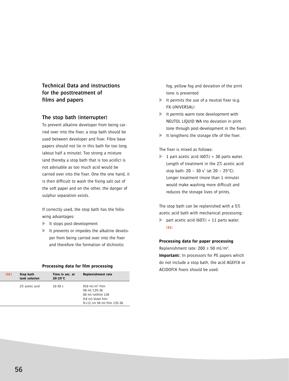## <span id="page-55-0"></span>**Technical Data and instructions for the posttreatment of films and papers**

## **The stop bath (interrupter)**

To prevent alkaline developer from being carried over into the fixer, a stop bath should be used between developer and fixer. Fibre base papers should not lie in this bath for too long (about half a minute). Too strong a mixture (and thereby a stop bath that is too acidic) is not advisable as too much acid would be carried over into the fixer. One the one hand, it is then difficult to wash the fixing salt out of the soft paper and on the other, the danger of sulphur separation exists.

If correctly used, the stop bath has the following advantages:

- It stops post-development
- It prevents or impedes the alkaline developer from being carried over into the fixer and therefore the formation of dichroitic

#### **Processing data for film processing**

| (31) | Stop bath<br>tank solution | Time in sec. at<br>$20-25^\circ C$ | <b>Replenishment rate</b>                                                                                            |
|------|----------------------------|------------------------------------|----------------------------------------------------------------------------------------------------------------------|
|      | 2% acetic acid             | $10-30s$                           | 910 ml/m <sup>2</sup> Film<br>50 ml/135-36<br>60 ml/rollfilm 120<br>9.8 ml/sheet film<br>9 x 12 cm 50 ml/film 135-36 |

fog, yellow fog and deviation of the print tone is prevented

- It permits the use of a neutral fixer (e.g. FX-UNIVERSAL)
- It permits warm tone development with NEUTOL LIQUID WA (no deviation in print tone through post-development in the fixer).
- It lengthens the storage life of the fixer.

The fixer is mixed as follows:

1 part acetic acid  $(60\%) + 30$  parts water. Length of treatment in the 2% acetic acid stop bath:  $20 - 30 s^*$  (at  $20 - 25^{\circ}$ C). Longer treatment (more than 1 minute) would make washing more difficult and reduces the storage lives of prints.

The stop bath can be replenished with a 5% acetic acid bath with mechanical processing:

**part acetic acid (60%)** + 11 parts water. **(31)**

## **Processing data for paper processing**

Replenishment rate:  $200 \pm 50$  ml/m<sup>2</sup>. . **Important:** In processors for PE papers which do not include a stop bath, the acid AGEFIX or ACIDOFIX fixers should be used.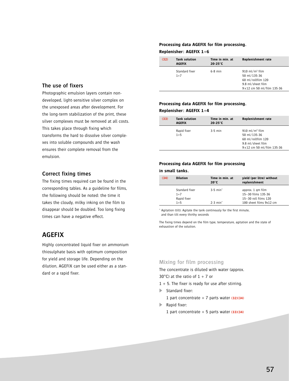#### **Processing data AGEFIX for film processing.**

#### **Replenisher: AGEFIX 1+6**

| (32) | <b>Tank solution</b><br><b>AGEFIX</b> | Time in min. at<br>$20-25^{\circ}C$ | Replenishment rate                                                                                                   |
|------|---------------------------------------|-------------------------------------|----------------------------------------------------------------------------------------------------------------------|
|      | Standard fixer<br>$1+7$               | $6-8$ min                           | 910 ml/m <sup>2</sup> film<br>50 ml/135-36<br>60 ml/rollfilm 120<br>9.8 ml/sheet film<br>9 x 12 cm 50 ml/film 135-36 |

## **Processing data AGEFIX for film processing. Replenisher: AGEFIX 1+4**

| (33) | <b>Tank solution</b><br><b>AGEFIX</b> | Time in min. at<br>$20-25^\circ C$ | Replenishment rate                                                                                                   |
|------|---------------------------------------|------------------------------------|----------------------------------------------------------------------------------------------------------------------|
|      | Rapid fixer<br>$1 + 5$                | $3-5$ min                          | 910 ml/m <sup>2</sup> film<br>50 ml/135-36<br>60 ml/rollfilm 120<br>9.8 ml/sheet film<br>9 x 12 cm 50 ml/film 135-36 |

#### **Processing data AGEFIX for film processing**

#### **in small tanks.**

| (34) | <b>Dilution</b>         | Time in min. at<br>$20^{\circ}$ C | vield (per litre) without<br>replenishment      |
|------|-------------------------|-----------------------------------|-------------------------------------------------|
|      | Standard fixer<br>$1+7$ | $3-5$ min <sup>*</sup>            | approx. 1 gm film<br>15-30 films 135-36         |
|      | Rapid fixer<br>$1 + 5$  | $2-3$ min <sup>*</sup>            | 15-30 roll films 120<br>100 sheet films 9x12 cm |

\* Agitation (tilt): Agitate the tank continously for the first minute, and than tilt every thirthy seconds

The fixing times depend on the film type, temperature, agitation and the state of exhaustion of the solution.

#### **Mixing for film processing**

The concentrate is diluted with water (approx.

30 $^{\circ}$ C) at the ratio of 1 + 7 or

- $1 + 5$ . The fixer is ready for use after stirring.
- Standard fixer:

1 part concentrate + 7 parts water **(32)(34)**

- **Rapid fixer:** 
	- 1 part concentrate + 5 parts water **(33)(34)**

## **The use of fixers**

Photographic emulsion layers contain nondeveloped, light-sensitive silver complex on the unexposed areas after development. For the long-term stabilization of the print, these silver complexes must be removed at all costs. This takes place through fixing which transforms the hard to dissolve silver complexes into soluble compounds and the wash ensures their complete removal from the emulsion.

## **Correct fixing times**

The fixing times required can be found in the corresponding tables. As a guideline for films, the following should be noted: the time it takes the cloudy, milky inking on the film to disappear should be doubled. Too long fixing times can have a negative effect.

## **AGEFIX**

Highly concentrated liquid fixer on ammonium thiosulphate basis with optimum composition for yield and storage life. Depending on the dilution, AGEFIX can be used either as a standard or a rapid fixer.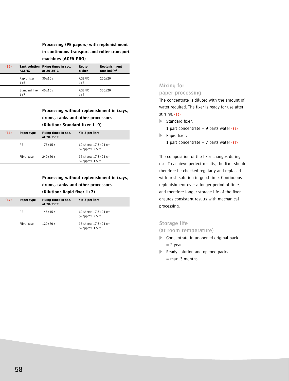## **Processing (PE papers) with replenishment in continuous transport and roller transport machines (AGFA-PRO)**

| (35) | <b>AGEFIX</b>           | Tank solution Fixing times in sec.<br>at $20-35^\circ$ C | Reple-<br>nisher  | Replenishment<br>rate $(ml/m2)$ |
|------|-------------------------|----------------------------------------------------------|-------------------|---------------------------------|
|      | Rapid fixer<br>$1 + 5$  | $30+10s$                                                 | AGEFIX<br>$1 + 3$ | $200+20$                        |
|      | Standard fixer<br>$1+7$ | $45+10s$                                                 | AGEFIX<br>$1 + 5$ | $300+20$                        |

## **Processing without replenishment in trays, drums, tanks and other processors (Dilution: Standard fixer 1+9)**

| (36) | Paper type | Fixing times in sec.<br>at $20-35^\circ$ C | Yield per litre                                             |
|------|------------|--------------------------------------------|-------------------------------------------------------------|
|      | PE         | $75+15s$                                   | 60 sheets 17.8 x 24 cm<br>$(=$ approx. 2.5 m <sup>2</sup> ) |
|      | Fihre hase | $240+60 s$                                 | 35 sheets 17.8 x 24 cm<br>$(=$ approx. 1.5 m <sup>2</sup> ) |

## **Processing without replenishment in trays, drums, tanks and other processors (Dilution: Rapid fixer 1+7)**

| (37) | Paper type | Fixing times in sec.<br>at $20-35^\circ$ C | Yield per litre                                             |
|------|------------|--------------------------------------------|-------------------------------------------------------------|
|      | PE         | $45+15s$                                   | 60 sheets 17.8 x 24 cm<br>$(=$ approx. 2.5 m <sup>2</sup> ) |
|      | Fibre base | $120+60 s$                                 | 35 sheets 17.8 x 24 cm<br>$(=$ approx. 1.5 m <sup>2</sup> ) |

## **Mixing for paper processing**

The concentrate is diluted with the amount of water required. The fixer is ready for use after stirring. **(35)**

Standard fixer:

1 part concentrate + 9 parts water **(36)**

**Rapid fixer:** 

1 part concentrate + 7 parts water **(37)**

The composition of the fixer changes during use. To achieve perfect results, the fixer should therefore be checked regularly and replaced with fresh solution in good time. Continuous replenishment over a longer period of time, and therefore longer storage life of the fixer ensures consistent results with mechanical processing.

## **Storage life**

#### **(at room temperature)**

- Concentrate in unopened original pack  $= 2$  years
- Ready solution and opened packs  $=$  max. 3 months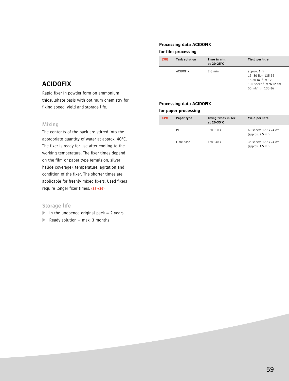#### **Processing data ACIDOFIX**

#### **for film processing**

| (38) | <b>Tank solution</b> | Time in min.<br>at 20-25 $\degree$ C | Yield per litre                                                                                                   |
|------|----------------------|--------------------------------------|-------------------------------------------------------------------------------------------------------------------|
|      | <b>ACIDOFIX</b>      | $2-3$ min                            | approx. $1 \text{ m}^2$<br>15-30 film 135-36<br>15-30 rollfilm 120<br>100 sheet film 9x12 cm<br>50 ml/film 135-36 |

## **ACIDOFIX**

Rapid fixer in powder form on ammonium thiosulphate basis with optimum chemistry for fixing speed, yield and storage life.

#### **Mixing**

The contents of the pack are stirred into the appropriate quantity of water at approx. 40°C. The fixer is ready for use after cooling to the working temperature. The fixer times depend on the film or paper type (emulsion, silver halide coverage), temperature, agitation and condition of the fixer. The shorter times are applicable for freshly mixed fixers. Used fixers require longer fixer times. **(38) (39)**

## **Storage life**

- In the unopened original pack  $= 2$  years
- Ready solution  $=$  max. 3 months

#### **Processing data ACIDOFIX**

**for paper processing**

| (39) | Paper type | Fixing times in sec.<br>at $20-35^\circ$ C | Yield per litre                                        |
|------|------------|--------------------------------------------|--------------------------------------------------------|
|      | PE         | $60+10s$                                   | 60 sheets 17.8 x 24 cm<br>(approx. $2.5 \text{ m}^2$ ) |
|      | Fihre hase | $150+30s$                                  | 35 sheets 17.8 x 24 cm<br>(approx. $1.5 \text{ m}^2$ ) |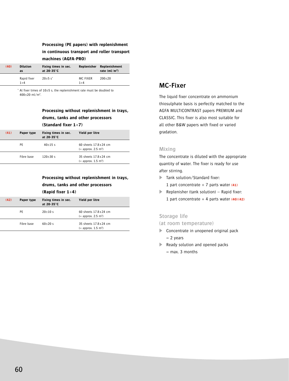## **Processing (PE papers) with replenishment in continuous transport and roller transport machines (AGFA-PRO)**

| (40) | <b>Dilution</b><br>as  | Fixing times in sec.<br>at $20-35^{\circ}$ C | Replenisher         | Replenishment<br>rate $(ml/m2)$ |
|------|------------------------|----------------------------------------------|---------------------|---------------------------------|
|      | Rapid fixer<br>$1 + 4$ | $20 \pm 5$ s <sup>*</sup>                    | MC FIXER<br>$1 + 4$ | $200+20$                        |

 $*$  At fixer times of 10 $\pm$ 5 s, the replenishment rate must be doubled to 400±20 ml/m2 .

## **Processing without replenishment in trays, drums, tanks and other processors**

**(Standard fixer 1+7)**

| (41) | Paper type | Fixing times in sec.<br>at $20-35^\circ$ C | Yield per litre                                             |
|------|------------|--------------------------------------------|-------------------------------------------------------------|
|      | PE         | $40+15s$                                   | 60 sheets 17.8 x 24 cm<br>$(=$ approx. 2.5 m <sup>2</sup> ) |
|      | Fihre hase | $120+30s$                                  | 35 sheets 17.8 x 24 cm<br>$(=$ approx. 1.5 m <sup>2</sup> ) |

## **Processing without replenishment in trays, drums, tanks and other processors (Rapid fixer 1+4)**

| (42) | Paper type | Fixing times in sec.<br>at $20-35^\circ$ C | Yield per litre                                             |
|------|------------|--------------------------------------------|-------------------------------------------------------------|
|      | PE         | $20+10s$                                   | 60 sheets 17.8 x 24 cm<br>$(=$ approx. 2.5 m <sup>2</sup> ) |
|      | Fibre base | $60+20s$                                   | 35 sheets 17.8 x 24 cm<br>$(=$ approx. 1.5 m <sup>2</sup> ) |

## **MC-Fixer**

The liquid fixer concentrate on ammonium thiosulphate basis is perfectly matched to the AGFA MULTICONTRAST papers PREMIUM and CLASSIC. This fixer is also most suitable for all other B&W papers with fixed or varied gradation.

## **Mixing**

The concentrate is diluted with the appropriate quantity of water. The fixer is ready for use after stirring.

- Tank solution/Standard fixer: 1 part concentrate + 7 parts water **(41)**
- Replenisher (tank solution) Rapid fixer: 1 part concentrate  $+$  4 parts water  $(40)(42)$

## **Storage life**

**(at room temperature)**

- Concentrate in unopened original pack  $= 2$  years
- Ready solution and opened packs  $=$  max. 3 months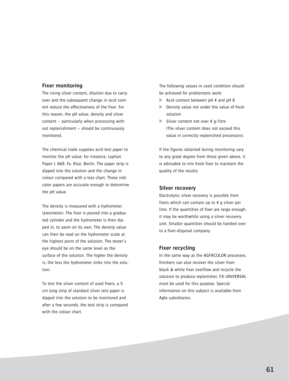## **Fixer monitoring**

The rising silver content, dilution due to carryover and the subsequent change in acid content reduce the effectiveness of the fixer. For this reason, the pH value, density and silver content – particularly when processing without replenishment – should be continuously monitored.

The chemical trade supplies acid test paper to monitor the pH value: for instance, Lyphan Paper L 669, Fa. Kloz, Berlin. The paper strip is dipped into the solution and the change in colour compared with a test chart. These indicator papers are accurate enough to determine the pH value.

The density is measured with a hydrometer (areometer). The fixer is poured into a graduated cylinder and the hydrometer is then dipped in, to swim on its own. The density value can then be read on the hydrometer scale at the highest point of the solution. The tester's eye should be on the same level as the surface of the solution. The higher the density is, the less the hydrometer sinks into the solution.

To test the silver content of used fixers, a 5 cm long strip of standard silver test paper is dipped into the solution to be monitored and after a few seconds, the test strip is compared with the colour chart.

The following values in used condition should be achieved for problematic work:

- Acid content between pH 4 and pH 8
- **Density value not under the value of fresh** solution
- Silver content not over 4 g/litre (The silver content does not exceed this value in correctly replenished processors).

If the figures obtained during monitoring vary to any great degree from those given above, it is advisable to mix fresh fixer to maintain the quality of the results.

## **Silver recovery**

Electrolytic silver recovery is possible from fixers which can contain up to 4 g silver per litre. If the quantities of fixer are large enough, it may be worthwhile using a silver recovery unit. Smaller quantities should be handed over to a fixer-disposal company.

## **Fixer recycling**

In the same way as the AGFACOLOR processes, finishers can also recover the silver from black & white fixer overflow and recycle the solution to produce replenisher. FX-UNIVERSAL must be used for this purpose. Special information on this subject is available from Agfa subsidiaries.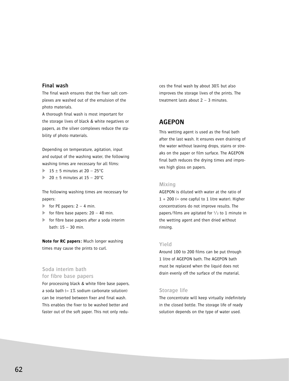## **Final wash**

The final wash ensures that the fixer salt complexes are washed out of the emulsion of the photo materials.

A thorough final wash is most important for the storage lives of black & white negatives or papers, as the silver complexes reduce the stability of photo materials.

Depending on temperature, agitation, input and output of the washing water, the following washing times are necessary for all films:

- $\blacktriangleright$  15 ± 5 minutes at 20 25°C
- ▶ 20  $\pm$  5 minutes at  $15 20^{\circ}$ C

The following washing times are necessary for papers:

- $\blacktriangleright$  for PE papers: 2 4 min.
- for fibre base papers:  $20 40$  min.
- for fibre base papers after a soda interim bath: 15 – 30 min.

**Note for RC papers:** Much longer washing times may cause the prints to curl.

## **Soda interim bath**

**for fibre base papers**

For processing black & white fibre base papers, a soda bath  $(= 1\%$  sodium carbonate solution) can be inserted between fixer and final wash. This enables the fixer to be washed better and faster out of the soft paper. This not only reduces the final wash by about 30% but also improves the storage lives of the prints. The treatment lasts about 2 – 3 minutes.

## **AGEPON**

This wetting agent is used as the final bath after the last wash. It ensures even draining of the water without leaving drops, stains or streaks on the paper or film surface. The AGEPON final bath reduces the drying times and improves high gloss on papers.

#### **Mixing**

AGEPON is diluted with water at the ratio of  $1 + 200$  (= one capful to 1 litre water). Higher concentrations do not improve results. The papers/films are agitated for  $\frac{1}{2}$  to 1 minute in the wetting agent and then dried without rinsing.

#### **Yield**

Around 100 to 200 films can be put through 1 litre of AGEPON bath. The AGEPON bath must be replaced when the liquid does not drain evenly off the surface of the material.

## **Storage life**

The concentrate will keep virtually indefinitely in the closed bottle. The storage life of ready solution depends on the type of water used.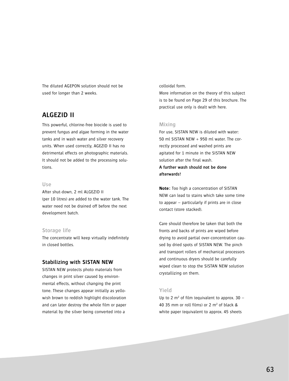The diluted AGEPON solution should not be used for longer than 2 weeks.

## **ALGEZID II**

This powerful, chlorine-free biocide is used to prevent fungus and algae forming in the water tanks and in wash water and silver recovery units. When used correctly, AGEZID II has no detrimental effects on photographic materials. It should not be added to the processing solutions.

## **Use**

After shut-down, 2 ml ALGEZID II (per 10 litres) are added to the water tank. The water need not be drained off before the next development batch.

## **Storage life**

The concentrate will keep virtually indefinitely in closed bottles.

## **Stabilizing with SISTAN NEW**

SISTAN NEW protects photo materials from changes in print silver caused by environmental effects, without changing the print tone. These changes appear initially as yellowish brown to reddish highlight discoloration and can later destroy the whole film or paper material by the silver being converted into a

#### colloidal form.

More information on the theory of this subject is to be found on Page 29 of this brochure. The practical use only is dealt with here.

#### **Mixing**

For use, SISTAN NEW is diluted with water: 50 ml SISTAN NEW + 950 ml water. The correctly processed and washed prints are agitated for 1 minute in the SISTAN NEW solution after the final wash. **A further wash should not be done afterwards!**

**Note:** Too high a concentration of SISTAN NEW can lead to stains which take some time to appear – particularly if prints are in close contact (store stacked).

Care should therefore be taken that both the fronts and backs of prints are wiped before drying to avoid partial over-concentration caused by dried spots of SISTAN NEW. The pinch and transport rollers of mechanical processors and continuous dryers should be carefully wiped clean to stop the SISTAN NEW solution crystallizing on them.

## **Yield**

Up to 2  $m^2$  of film (equivalent to approx. 30 – 40 35 mm or roll films) or 2 m2 of black & white paper (equivalent to approx. 45 sheets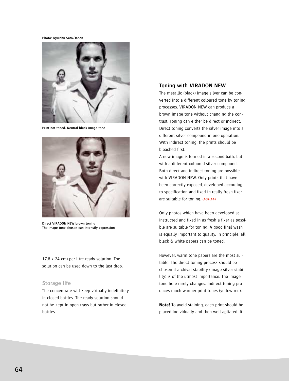**Photo: Ryuichu Sato/Japan**



**Print not toned. Neutral black image tone**



**Direct VIRADON NEW brown toning The image tone chosen can intensify expression**

17.8 x 24 cm) per litre ready solution. The solution can be used down to the last drop.

## **Storage life**

The concentrate will keep virtually indefinitely in closed bottles. The ready solution should not be kept in open trays but rather in closed bottles.

## **Toning with VIRADON NEW**

The metallic (black) image silver can be converted into a different coloured tone by toning processes. VIRADON NEW can produce a brown image tone without changing the contrast. Toning can either be direct or indirect. Direct toning converts the silver image into a different silver compound in one operation. With indirect toning, the prints should be bleached first.

A new image is formed in a second bath, but with a different coloured silver compound. Both direct and indirect toning are possible with VIRADON NEW. Only prints that have been correctly exposed, developed according to specification and fixed in really fresh fixer are suitable for toning. **(43) (44)**

Only photos which have been developed as instructed and fixed in as fresh a fixer as possible are suitable for toning. A good final wash is equally important to quality. In principle, all black & white papers can be toned.

However, warm tone papers are the most suitable. The direct toning process should be chosen if archival stability (image silver stability) is of the utmost importance. The image tone here rarely changes. Indirect toning produces much warmer print tones (yellow-red).

**Note!** To avoid staining, each print should be placed individually and then well agitated. It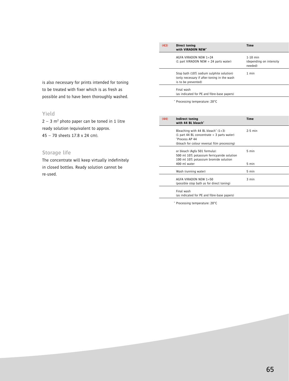is also necessary for prints intended for toning to be treated with fixer which is as fresh as possible and to have been thoroughly washed.

## **Yield**

 $2 - 3$  m<sup>2</sup> photo paper can be toned in 1 litre ready solution (equivalent to approx. 45 – 70 sheets 17.8 x 24 cm).

## **Storage life**

The concentrate will keep virtually indefinitely in closed bottles. Ready solution cannot be re-used.

| (43) | <b>Direct toning</b><br>with VIRADON NEW*                                                                                                                          | <b>Time</b>                                      |
|------|--------------------------------------------------------------------------------------------------------------------------------------------------------------------|--------------------------------------------------|
|      | AGFA VIRADON NEW 1+24<br>$(1$ part VIRADON NEW $+$ 24 parts water)                                                                                                 | $1-10$ min<br>(depending on intensity<br>needed) |
|      | Stop bath (10% sodium sulphite solution)<br>(only necessary if after-toning in the wash<br>is to be prevented)                                                     | $1$ min                                          |
|      | Final wash<br>(as indicated for PE and fibre-base papers)                                                                                                          |                                                  |
|      | * Processing temperature: 20°C                                                                                                                                     |                                                  |
| (44) | <b>Indirect toning</b><br>with 44 BL bleach*                                                                                                                       | <b>Time</b>                                      |
|      | Bleaching with 44 BL bleach <sup>*</sup> $(1+3)$<br>(1 part 44 BL concentrate $+$ 3 parts water)<br>*Process AP 44<br>(bleach for colour reversal film processing) | $2-5$ min                                        |
|      |                                                                                                                                                                    |                                                  |
|      | or bleach (Agfa 501 formula):<br>500 ml 10% potassium ferricyanide solution<br>100 ml 10% potassium bromide solution                                               | 5 min                                            |

Wash (running water) 5 min AGFA VIRADON NEW 1+50 3min (possible stop bath as for direct toning)

Final wash

(as indicated for PE and fibre-base papers)

\* Processing temperature: 20°C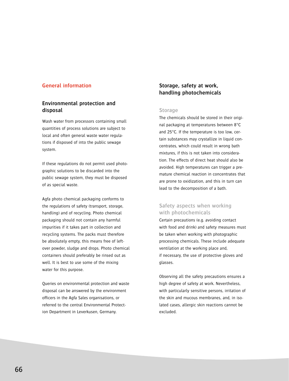## <span id="page-65-0"></span>**General information**

## **Environmental protection and disposal**

Wash water from processors containing small quantities of process solutions are subject to local and often general waste water regulations if disposed of into the public sewage system.

If these regulations do not permit used photographic solutions to be discarded into the public sewage system, they must be disposed of as special waste.

Agfa photo chemical packaging conforms to the regulations of safety (transport, storage, handling) and of recycling. Photo chemical packaging should not contain any harmful impurities if it takes part in collection and recycling systems. The packs must therefore be absolutely empty, this means free of leftover powder, sludge and drops. Photo chemical containers should preferably be rinsed out as well. It is best to use some of the mixing water for this purpose.

Queries on environmental protection and waste disposal can be answered by the environment officers in the Agfa Sales organisations, or referred to the central Environmental Protection Department in Leverkusen, Germany.

## **Storage, safety at work, handling photochemicals**

## **Storage**

The chemicals should be stored in their original packaging at temperatures between 8°C and 25°C. If the temperature is too low, certain substances may crystallize in liquid concentrates, which could result in wrong bath mixtures, if this is not taken into consideration. The effects of direct heat should also be avoided. High temperatures can trigger a premature chemical reaction in concentrates that are prone to oxidization, and this in turn can lead to the decomposition of a bath.

## **Safety aspects when working with photochemicals**

Certain precautions (e.g. avoiding contact with food and drink) and safety measures must be taken when working with photographic processing chemicals. These include adequate ventilation at the working place and, if necessary, the use of protective gloves and glasses.

Observing all the safety precautions ensures a high degree of safety at work. Nevertheless, with particularly sensitive persons, irritation of the skin and mucous membranes, and, in isolated cases, allergic skin reactions cannot be excluded.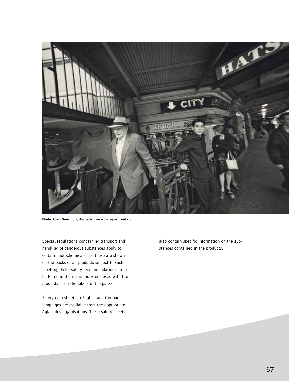

**Photo: Chris Groenhout/Australia · www.chrisgroenhout.com**

Special regulations concerning transport and handling of dangerous substances apply to certain photochemicals and these are shown on the packs of all products subject to such labelling. Extra safety recommendations are to be found in the instructions enclosed with the products or on the labels of the packs.

Safety data sheets in English and German languages are available from the appropriate Agfa sales organisations. These safety sheets also contain specific information on the substances contained in the products.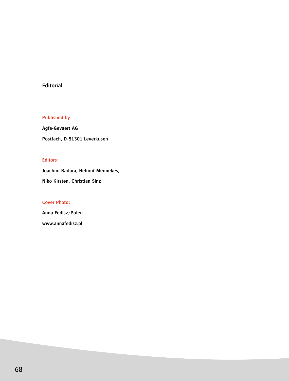## **Editorial**

**Published by:**

**Agfa-Gevaert AG**

**Postfach, D-51301 Leverkusen**

## **Editors:**

**Joachim Badura, Helmut Mennekes, Niko Kirsten, Christian Sinz**

## **Cover Photo:**

**Anna Fedisz/Polen**

**www.annafedisz.pl**